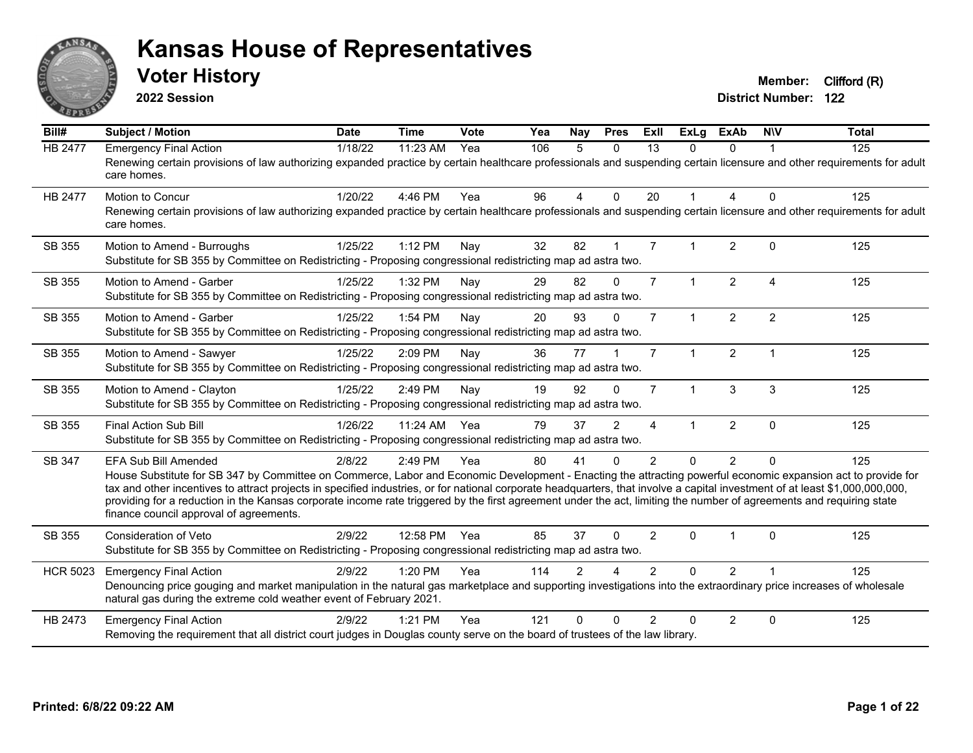

**2022 Session**

**Voter History Member:** Clifford (R)

| Bill#           | <b>Subject / Motion</b>                                                                                                                                                                                                                                                                                                                                                                                                                                                                                                                                                                            | <b>Date</b> | <b>Time</b>  | Vote | Yea | Nay            | <b>Pres</b>  | ExII           | <b>ExLg</b>  | <b>ExAb</b>    | <b>NIV</b>             | <b>Total</b> |
|-----------------|----------------------------------------------------------------------------------------------------------------------------------------------------------------------------------------------------------------------------------------------------------------------------------------------------------------------------------------------------------------------------------------------------------------------------------------------------------------------------------------------------------------------------------------------------------------------------------------------------|-------------|--------------|------|-----|----------------|--------------|----------------|--------------|----------------|------------------------|--------------|
| <b>HB 2477</b>  | <b>Emergency Final Action</b><br>Renewing certain provisions of law authorizing expanded practice by certain healthcare professionals and suspending certain licensure and other requirements for adult<br>care homes.                                                                                                                                                                                                                                                                                                                                                                             | 1/18/22     | 11:23 AM     | Yea  | 106 | 5              | $\mathbf{0}$ | 13             | $\Omega$     | $\Omega$       |                        | 125          |
| HB 2477         | Motion to Concur<br>Renewing certain provisions of law authorizing expanded practice by certain healthcare professionals and suspending certain licensure and other requirements for adult<br>care homes.                                                                                                                                                                                                                                                                                                                                                                                          | 1/20/22     | 4:46 PM      | Yea  | 96  | $\overline{4}$ | $\Omega$     | 20             |              | 4              | $\mathbf{0}$           | 125          |
| SB 355          | Motion to Amend - Burroughs<br>Substitute for SB 355 by Committee on Redistricting - Proposing congressional redistricting map ad astra two.                                                                                                                                                                                                                                                                                                                                                                                                                                                       | 1/25/22     | 1:12 PM      | Nay  | 32  | 82             | $\mathbf{1}$ | $\overline{7}$ |              | 2              | $\Omega$               | 125          |
| <b>SB 355</b>   | Motion to Amend - Garber<br>Substitute for SB 355 by Committee on Redistricting - Proposing congressional redistricting map ad astra two.                                                                                                                                                                                                                                                                                                                                                                                                                                                          | 1/25/22     | 1:32 PM      | Nay  | 29  | 82             | $\mathbf{0}$ | $\overline{7}$ | $\mathbf{1}$ | $\overline{2}$ | $\boldsymbol{\Lambda}$ | 125          |
| SB 355          | Motion to Amend - Garber<br>Substitute for SB 355 by Committee on Redistricting - Proposing congressional redistricting map ad astra two.                                                                                                                                                                                                                                                                                                                                                                                                                                                          | 1/25/22     | 1:54 PM      | Nay  | 20  | 93             | $\Omega$     | $\overline{7}$ |              | $\overline{2}$ | $\overline{2}$         | 125          |
| SB 355          | Motion to Amend - Sawyer<br>Substitute for SB 355 by Committee on Redistricting - Proposing congressional redistricting map ad astra two.                                                                                                                                                                                                                                                                                                                                                                                                                                                          | 1/25/22     | 2:09 PM      | Nay  | 36  | 77             |              | $\overline{7}$ | $\mathbf{1}$ | 2              | $\overline{1}$         | 125          |
| SB 355          | Motion to Amend - Clayton<br>Substitute for SB 355 by Committee on Redistricting - Proposing congressional redistricting map ad astra two.                                                                                                                                                                                                                                                                                                                                                                                                                                                         | 1/25/22     | 2:49 PM      | Nay  | 19  | 92             | $\Omega$     | $\overline{7}$ | $\mathbf 1$  | 3              | 3                      | 125          |
| SB 355          | <b>Final Action Sub Bill</b><br>Substitute for SB 355 by Committee on Redistricting - Proposing congressional redistricting map ad astra two.                                                                                                                                                                                                                                                                                                                                                                                                                                                      | 1/26/22     | 11:24 AM     | Yea  | 79  | 37             | 2            | 4              |              | $\overline{2}$ | $\mathbf{0}$           | 125          |
| SB 347          | <b>EFA Sub Bill Amended</b><br>House Substitute for SB 347 by Committee on Commerce, Labor and Economic Development - Enacting the attracting powerful economic expansion act to provide for<br>tax and other incentives to attract projects in specified industries, or for national corporate headquarters, that involve a capital investment of at least \$1,000,000,000,000,<br>providing for a reduction in the Kansas corporate income rate triggered by the first agreement under the act, limiting the number of agreements and requiring state<br>finance council approval of agreements. | 2/8/22      | 2:49 PM      | Yea  | 80  | 41             | $\Omega$     | 2              | $\Omega$     | $\overline{2}$ | $\Omega$               | 125          |
| SB 355          | <b>Consideration of Veto</b><br>Substitute for SB 355 by Committee on Redistricting - Proposing congressional redistricting map ad astra two.                                                                                                                                                                                                                                                                                                                                                                                                                                                      | 2/9/22      | 12:58 PM Yea |      | 85  | 37             | $\Omega$     | $\overline{2}$ | $\Omega$     |                | $\Omega$               | 125          |
| <b>HCR 5023</b> | <b>Emergency Final Action</b><br>Denouncing price gouging and market manipulation in the natural gas marketplace and supporting investigations into the extraordinary price increases of wholesale<br>natural gas during the extreme cold weather event of February 2021.                                                                                                                                                                                                                                                                                                                          | 2/9/22      | 1:20 PM      | Yea  | 114 | $\overline{2}$ |              | $\overline{2}$ | $\Omega$     | $\overline{2}$ |                        | 125          |
| HB 2473         | <b>Emergency Final Action</b><br>Removing the requirement that all district court judges in Douglas county serve on the board of trustees of the law library.                                                                                                                                                                                                                                                                                                                                                                                                                                      | 2/9/22      | 1:21 PM      | Yea  | 121 | $\Omega$       | $\Omega$     | $\mathfrak{p}$ | 0            | $\overline{2}$ | $\mathbf{0}$           | 125          |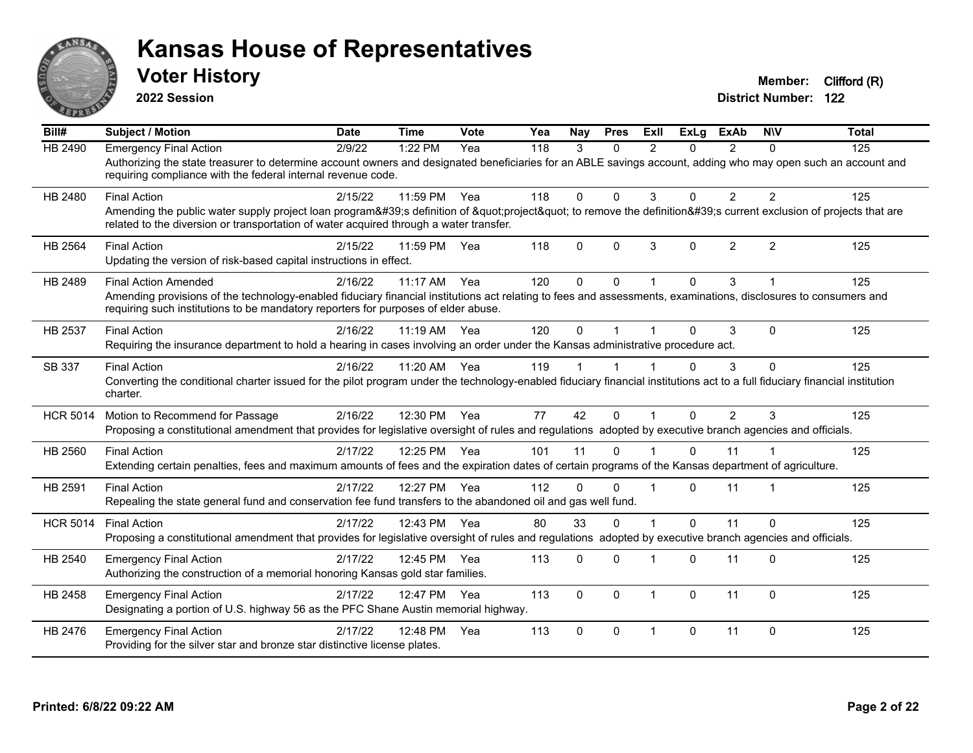

**2022 Session**

**District Number: 122 Voter History Member:** Clifford (R)

**Bill# Subject / Motion Date Time Vote Yea Nay Pres Exll ExLg ExAb N\V Total** HB 2490 Emergency Final Action 2/9/22 1:22 PM Yea 118 3 0 2 0 2 0 125 Authorizing the state treasurer to determine account owners and designated beneficiaries for an ABLE savings account, adding who may open such an account and requiring compliance with the federal internal revenue code. HB 2480 Final Action 2/15/22 11:59 PM Yea 118 0 0 3 0 2 2 125 Amending the public water supply project loan program's definition of "project" to remove the definition's current exclusion of projects that are related to the diversion or transportation of water acquired through a water transfer. HB 2564 Final Action 2/15/22 11:59 PM Yea 118 0 0 3 0 2 2 125 Updating the version of risk-based capital instructions in effect. HB 2489 Final Action Amended 2016/22 11:17 AM Yea 120 0 0 1 0 3 1 1 125 Amending provisions of the technology-enabled fiduciary financial institutions act relating to fees and assessments, examinations, disclosures to consumers and requiring such institutions to be mandatory reporters for purposes of elder abuse. HB 2537 Final Action 2/16/22 11:19 AM Yea 120 0 1 1 0 3 0 125 Requiring the insurance department to hold a hearing in cases involving an order under the Kansas administrative procedure act. SB 337 Final Action 2/16/22 11:20 AM Yea 119 1 1 1 0 3 0 125 Converting the conditional charter issued for the pilot program under the technology-enabled fiduciary financial institutions act to a full fiduciary financial institution charter. HCR 5014 Motion to Recommend for Passage 2/16/22 12:30 PM Yea 77 42 0 1 0 2 3 125 Proposing a constitutional amendment that provides for legislative oversight of rules and regulations adopted by executive branch agencies and officials. HB 2560 Final Action 2/17/22 12:25 PM Yea 101 11 0 1 0 11 1 125 Extending certain penalties, fees and maximum amounts of fees and the expiration dates of certain programs of the Kansas department of agriculture. HB 2591 Final Action 2/17/22 12:27 PM Yea 112 0 0 1 0 11 1 125 Repealing the state general fund and conservation fee fund transfers to the abandoned oil and gas well fund. HCR 5014 Final Action 2/17/22 12:43 PM Yea 80 33 0 1 0 11 0 125 Proposing a constitutional amendment that provides for legislative oversight of rules and regulations adopted by executive branch agencies and officials. HB 2540 Emergency Final Action 21/17/22 12:45 PM Yea 113 0 0 1 0 11 0 125 Authorizing the construction of a memorial honoring Kansas gold star families. HB 2458 Emergency Final Action  $2/17/22$  12:47 PM Yea 113 0 0 1 0 11 0 125 Designating a portion of U.S. highway 56 as the PFC Shane Austin memorial highway. HB 2476 Emergency Final Action 2/17/22 12:48 PM Yea 113 0 0 1 0 11 0 125 Providing for the silver star and bronze star distinctive license plates.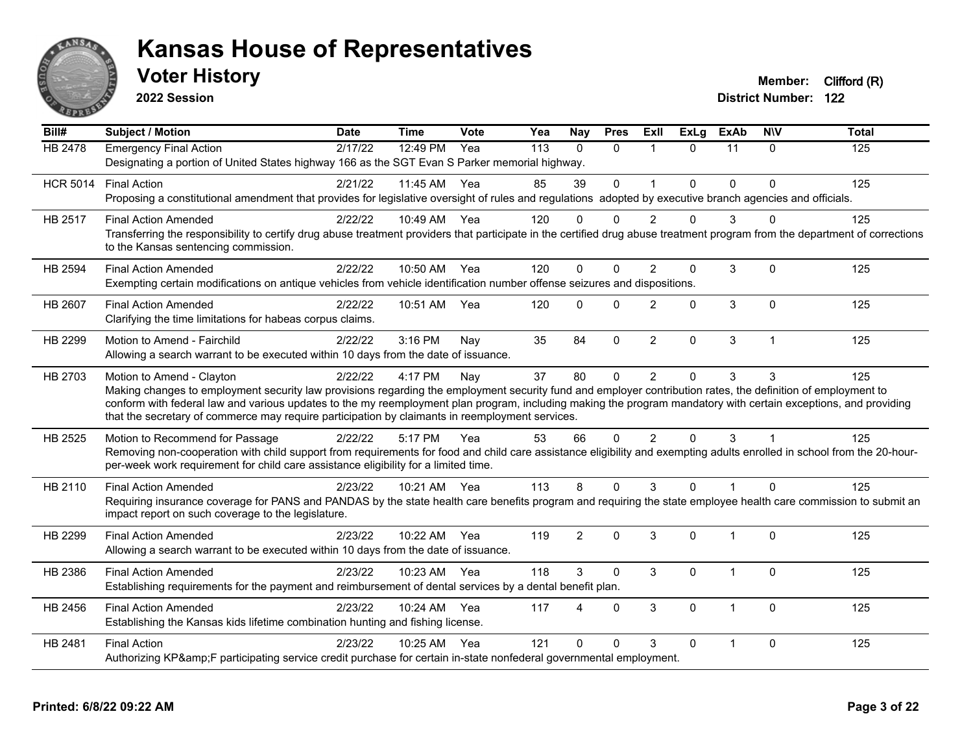

**2022 Session**

**District Number: 122 Voter History Member:** Clifford (R)

**Bill# Subject / Motion Date Time Vote Yea Nay Pres Exll ExLg ExAb N\V Total** HB 2478 Emergency Final Action 2/17/22 12:49 PM Yea 113 0 0 1 0 11 0 125 Designating a portion of United States highway 166 as the SGT Evan S Parker memorial highway. HCR 5014 Final Action 2/21/22 11:45 AM Yea 85 39 0 1 0 0 0 125 Proposing a constitutional amendment that provides for legislative oversight of rules and regulations adopted by executive branch agencies and officials. HB 2517 Final Action Amended 2/22/22 10:49 AM Yea 120 0 0 2 0 3 0 125 Transferring the responsibility to certify drug abuse treatment providers that participate in the certified drug abuse treatment program from the department of corrections to the Kansas sentencing commission. HB 2594 Final Action Amended 2/22/22 10:50 AM Yea 120 0 0 2 0 3 0 125 Exempting certain modifications on antique vehicles from vehicle identification number offense seizures and dispositions. HB 2607 Final Action Amended 2/22/22 10:51 AM Yea 120 0 0 2 0 3 0 125 Clarifying the time limitations for habeas corpus claims. HB 2299 Motion to Amend - Fairchild 2/22/22 3:16 PM Nay 35 84 0 2 0 3 1 1 125 Allowing a search warrant to be executed within 10 days from the date of issuance. HB 2703 Motion to Amend - Clayton and 2022/22 4:17 PM Nay 37 80 0 2 0 3 3 125 Making changes to employment security law provisions regarding the employment security fund and employer contribution rates, the definition of employment to conform with federal law and various updates to the my reemployment plan program, including making the program mandatory with certain exceptions, and providing that the secretary of commerce may require participation by claimants in reemployment services. HB 2525 Motion to Recommend for Passage 2/22/22 5:17 PM Yea 53 66 0 2 0 3 1 1 125 Removing non-cooperation with child support from requirements for food and child care assistance eligibility and exempting adults enrolled in school from the 20-hourper-week work requirement for child care assistance eligibility for a limited time. HB 2110 Final Action Amended 2/23/22 10:21 AM Yea 113 8 0 3 0 1 0 125 Requiring insurance coverage for PANS and PANDAS by the state health care benefits program and requiring the state employee health care commission to submit an impact report on such coverage to the legislature. HB 2299 Final Action Amended 2023/22 10:22 AM Yea 119 2 0 3 0 1 0 125 Allowing a search warrant to be executed within 10 days from the date of issuance. HB 2386 Final Action Amended 2023/22 10:23 AM Yea 118 3 0 3 0 1 0 125 Establishing requirements for the payment and reimbursement of dental services by a dental benefit plan. HB 2456 Final Action Amended 2/23/22 10:24 AM Yea 117 4 0 3 0 1 0 125 Establishing the Kansas kids lifetime combination hunting and fishing license. HB 2481 Final Action 2/23/22 10:25 AM Yea 121 0 0 3 0 1 0 125 Authorizing KP&F participating service credit purchase for certain in-state nonfederal governmental employment.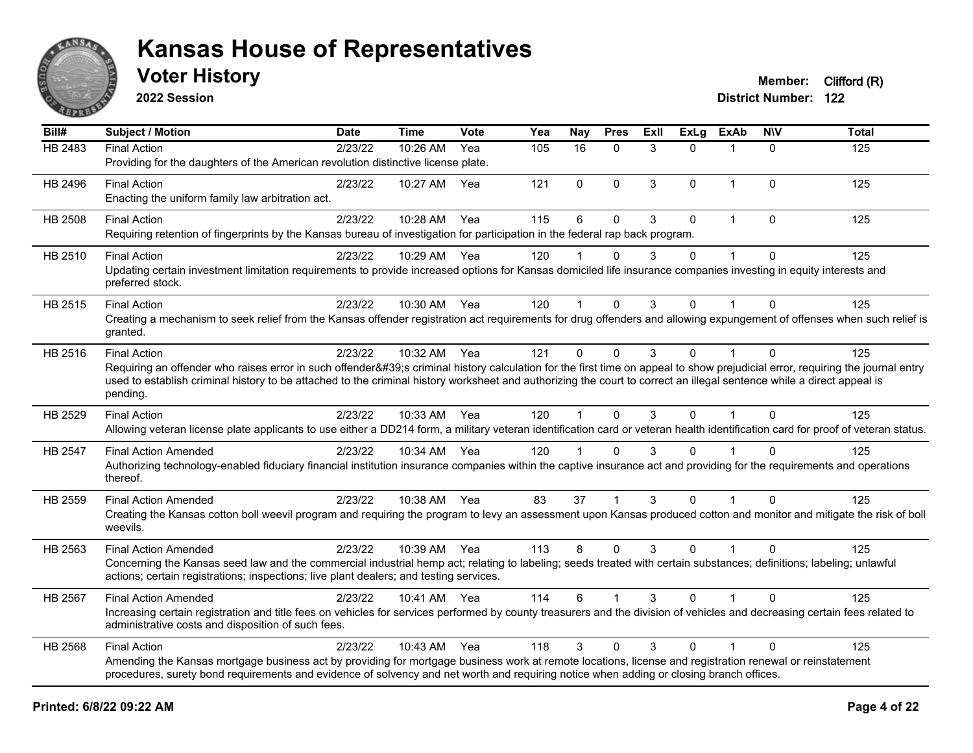

**2022 Session**

| Bill#          | Subject / Motion                                                                                                                                                                                                                                                                                                                                                                       | <b>Date</b> | <b>Time</b>  | Vote | Yea | <b>Nay</b>     | <b>Pres</b>  | ExIl | $\overline{ExLg}$ | <b>ExAb</b>             | <b>NIV</b>   | <b>Total</b> |
|----------------|----------------------------------------------------------------------------------------------------------------------------------------------------------------------------------------------------------------------------------------------------------------------------------------------------------------------------------------------------------------------------------------|-------------|--------------|------|-----|----------------|--------------|------|-------------------|-------------------------|--------------|--------------|
| HB 2483        | <b>Final Action</b><br>Providing for the daughters of the American revolution distinctive license plate.                                                                                                                                                                                                                                                                               | 2/23/22     | 10:26 AM     | Yea  | 105 | 16             | $\mathbf{0}$ | 3    | $\Omega$          | 1                       | $\Omega$     | 125          |
| HB 2496        | <b>Final Action</b><br>Enacting the uniform family law arbitration act.                                                                                                                                                                                                                                                                                                                | 2/23/22     | 10:27 AM     | Yea  | 121 | $\mathbf 0$    | $\mathbf 0$  | 3    | $\Omega$          | $\overline{1}$          | 0            | 125          |
| HB 2508        | <b>Final Action</b><br>Requiring retention of fingerprints by the Kansas bureau of investigation for participation in the federal rap back program.                                                                                                                                                                                                                                    | 2/23/22     | 10:28 AM     | Yea  | 115 | 6              | $\mathbf{0}$ | 3    | $\Omega$          | $\overline{1}$          | $\mathbf{0}$ | 125          |
| HB 2510        | <b>Final Action</b><br>Updating certain investment limitation requirements to provide increased options for Kansas domiciled life insurance companies investing in equity interests and<br>preferred stock.                                                                                                                                                                            | 2/23/22     | 10:29 AM     | Yea  | 120 |                | $\mathbf{0}$ | 3    | $\Omega$          | $\overline{1}$          | $\mathbf{0}$ | 125          |
| HB 2515        | <b>Final Action</b><br>Creating a mechanism to seek relief from the Kansas offender registration act requirements for drug offenders and allowing expungement of offenses when such relief is<br>granted.                                                                                                                                                                              | 2/23/22     | 10:30 AM     | Yea  | 120 |                | $\Omega$     | 3    | $\Omega$          |                         | $\Omega$     | 125          |
| HB 2516        | <b>Final Action</b><br>Requiring an offender who raises error in such offender's criminal history calculation for the first time on appeal to show prejudicial error, requiring the journal entry<br>used to establish criminal history to be attached to the criminal history worksheet and authorizing the court to correct an illegal sentence while a direct appeal is<br>pending. | 2/23/22     | 10:32 AM     | Yea  | 121 | $\Omega$       | $\mathbf{0}$ | 3    | $\Omega$          | $\overline{1}$          | $\Omega$     | 125          |
| HB 2529        | <b>Final Action</b><br>Allowing veteran license plate applicants to use either a DD214 form, a military veteran identification card or veteran health identification card for proof of veteran status.                                                                                                                                                                                 | 2/23/22     | 10:33 AM     | Yea  | 120 |                | $\mathbf{0}$ | 3    | $\Omega$          |                         | $\mathbf{0}$ | 125          |
| <b>HB 2547</b> | <b>Final Action Amended</b><br>Authorizing technology-enabled fiduciary financial institution insurance companies within the captive insurance act and providing for the requirements and operations<br>thereof.                                                                                                                                                                       | 2/23/22     | 10:34 AM     | Yea  | 120 | $\overline{1}$ | $\mathbf{0}$ | 3    | $\Omega$          |                         | $\Omega$     | 125          |
| HB 2559        | <b>Final Action Amended</b><br>Creating the Kansas cotton boll weevil program and requiring the program to levy an assessment upon Kansas produced cotton and monitor and mitigate the risk of boll<br>weevils.                                                                                                                                                                        | 2/23/22     | 10:38 AM     | Yea  | 83  | 37             |              | 3    | $\Omega$          |                         | $\mathbf{0}$ | 125          |
| HB 2563        | <b>Final Action Amended</b><br>Concerning the Kansas seed law and the commercial industrial hemp act; relating to labeling; seeds treated with certain substances; definitions; labeling; unlawful<br>actions; certain registrations; inspections; live plant dealers; and testing services.                                                                                           | 2/23/22     | 10:39 AM Yea |      | 113 | 8              | $\Omega$     | 3    | $\Omega$          | $\overline{\mathbf{1}}$ | $\Omega$     | 125          |
| HB 2567        | <b>Final Action Amended</b><br>Increasing certain registration and title fees on vehicles for services performed by county treasurers and the division of vehicles and decreasing certain fees related to<br>administrative costs and disposition of such fees.                                                                                                                        | 2/23/22     | 10:41 AM Yea |      | 114 | 6              |              | 3    | $\Omega$          |                         | $\mathbf{0}$ | 125          |
| HB 2568        | <b>Final Action</b><br>Amending the Kansas mortgage business act by providing for mortgage business work at remote locations, license and registration renewal or reinstatement<br>procedures, surety bond requirements and evidence of solvency and net worth and requiring notice when adding or closing branch offices.                                                             | 2/23/22     | 10:43 AM     | Yea  | 118 | 3              | 0            | 3    | $\Omega$          |                         | 0            | 125          |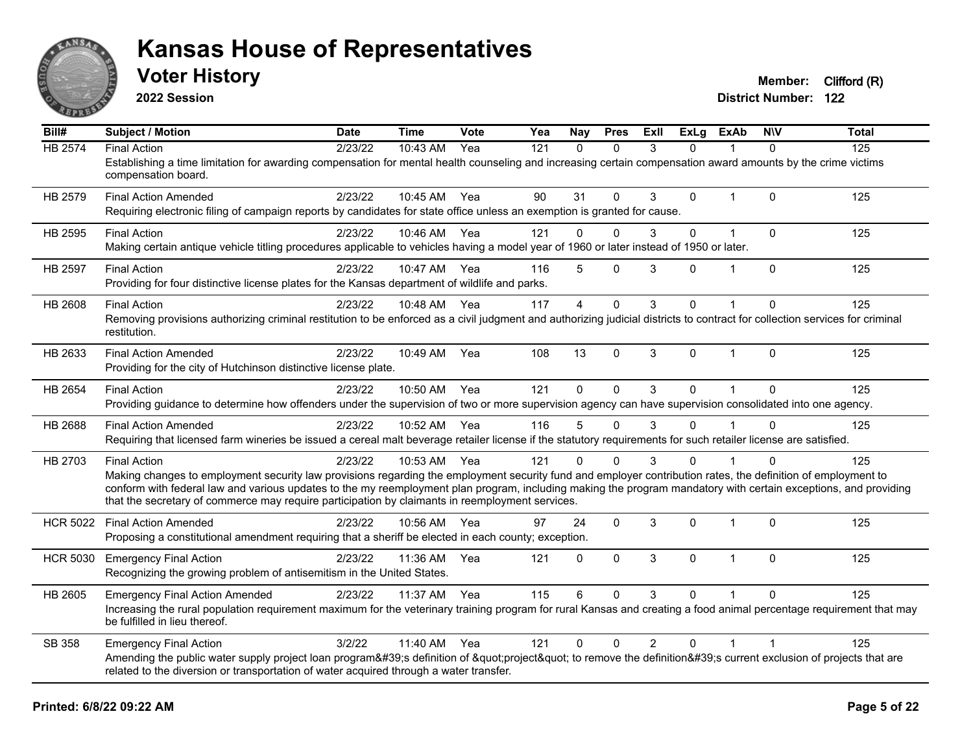

**2022 Session**

**Voter History Member:** Clifford (R)

| Bill#           | Subject / Motion                                                                                                                                                                                                                                                   | <b>Date</b> | <b>Time</b>  | <b>Vote</b> | Yea | <b>Nay</b>              | <b>Pres</b>  | ExII           | ExLg         | <b>ExAb</b>    | <b>NIV</b>     | <b>Total</b> |
|-----------------|--------------------------------------------------------------------------------------------------------------------------------------------------------------------------------------------------------------------------------------------------------------------|-------------|--------------|-------------|-----|-------------------------|--------------|----------------|--------------|----------------|----------------|--------------|
| HB 2574         | <b>Final Action</b><br>Establishing a time limitation for awarding compensation for mental health counseling and increasing certain compensation award amounts by the crime victims                                                                                | 2/23/22     | 10:43 AM     | Yea         | 121 | $\mathbf{0}$            | $\Omega$     | 3              | 0            |                | $\Omega$       | 125          |
|                 | compensation board.                                                                                                                                                                                                                                                |             |              |             |     |                         |              |                |              |                |                |              |
| HB 2579         | <b>Final Action Amended</b><br>Requiring electronic filing of campaign reports by candidates for state office unless an exemption is granted for cause.                                                                                                            | 2/23/22     | 10:45 AM Yea |             | 90  | 31                      | $\mathbf{0}$ | 3              | $\mathbf 0$  | $\mathbf{1}$   | $\Omega$       | 125          |
|                 |                                                                                                                                                                                                                                                                    |             |              |             |     |                         |              |                |              |                |                |              |
| HB 2595         | <b>Final Action</b>                                                                                                                                                                                                                                                | 2/23/22     | 10:46 AM Yea |             | 121 | $\Omega$                | $\mathbf{0}$ | 3              | 0            | $\overline{1}$ | $\Omega$       | 125          |
|                 | Making certain antique vehicle titling procedures applicable to vehicles having a model year of 1960 or later instead of 1950 or later.                                                                                                                            |             |              |             |     |                         |              |                |              |                |                |              |
| HB 2597         | <b>Final Action</b>                                                                                                                                                                                                                                                | 2/23/22     | 10:47 AM Yea |             | 116 | 5                       | $\mathbf{0}$ | 3              | 0            |                | $\Omega$       | 125          |
|                 | Providing for four distinctive license plates for the Kansas department of wildlife and parks.                                                                                                                                                                     |             |              |             |     |                         |              |                |              |                |                |              |
| HB 2608         | <b>Final Action</b>                                                                                                                                                                                                                                                | 2/23/22     | 10:48 AM     | Yea         | 117 | $\overline{\mathbf{A}}$ | $\mathbf{0}$ | 3              | 0            |                | $\Omega$       | 125          |
|                 | Removing provisions authorizing criminal restitution to be enforced as a civil judgment and authorizing judicial districts to contract for collection services for criminal                                                                                        |             |              |             |     |                         |              |                |              |                |                |              |
|                 | restitution.                                                                                                                                                                                                                                                       |             |              |             |     |                         |              |                |              |                |                |              |
| HB 2633         | <b>Final Action Amended</b>                                                                                                                                                                                                                                        | 2/23/22     | 10:49 AM     | Yea         | 108 | 13                      | $\mathbf{0}$ | 3              | $\mathbf{0}$ | $\mathbf{1}$   | $\Omega$       | 125          |
|                 | Providing for the city of Hutchinson distinctive license plate.                                                                                                                                                                                                    |             |              |             |     |                         |              |                |              |                |                |              |
| HB 2654         | <b>Final Action</b>                                                                                                                                                                                                                                                | 2/23/22     | 10:50 AM     | Yea         | 121 | $\mathbf{0}$            | $\Omega$     | 3              | $\Omega$     |                | $\Omega$       | 125          |
|                 | Providing guidance to determine how offenders under the supervision of two or more supervision agency can have supervision consolidated into one agency.                                                                                                           |             |              |             |     |                         |              |                |              |                |                |              |
| HB 2688         | <b>Final Action Amended</b>                                                                                                                                                                                                                                        | 2/23/22     | 10:52 AM     | Yea         | 116 | 5                       | $\Omega$     | 3              | 0            |                | $\Omega$       | 125          |
|                 | Requiring that licensed farm wineries be issued a cereal malt beverage retailer license if the statutory requirements for such retailer license are satisfied.                                                                                                     |             |              |             |     |                         |              |                |              |                |                |              |
| HB 2703         | <b>Final Action</b>                                                                                                                                                                                                                                                | 2/23/22     | 10:53 AM Yea |             | 121 | $\Omega$                | $\Omega$     | 3              | 0            |                |                | 125          |
|                 | Making changes to employment security law provisions regarding the employment security fund and employer contribution rates, the definition of employment to                                                                                                       |             |              |             |     |                         |              |                |              |                |                |              |
|                 | conform with federal law and various updates to the my reemployment plan program, including making the program mandatory with certain exceptions, and providing<br>that the secretary of commerce may require participation by claimants in reemployment services. |             |              |             |     |                         |              |                |              |                |                |              |
|                 |                                                                                                                                                                                                                                                                    |             |              |             |     |                         |              |                |              |                |                |              |
| <b>HCR 5022</b> | <b>Final Action Amended</b>                                                                                                                                                                                                                                        | 2/23/22     | 10:56 AM     | Yea         | 97  | 24                      | $\mathbf 0$  | 3              | 0            | $\overline{1}$ | $\Omega$       | 125          |
|                 | Proposing a constitutional amendment requiring that a sheriff be elected in each county; exception.                                                                                                                                                                |             |              |             |     |                         |              |                |              |                |                |              |
| <b>HCR 5030</b> | <b>Emergency Final Action</b>                                                                                                                                                                                                                                      | 2/23/22     | 11:36 AM     | Yea         | 121 | 0                       | $\mathbf 0$  | 3              | $\mathbf 0$  | $\mathbf{1}$   | $\Omega$       | 125          |
|                 | Recognizing the growing problem of antisemitism in the United States.                                                                                                                                                                                              |             |              |             |     |                         |              |                |              |                |                |              |
| HB 2605         | <b>Emergency Final Action Amended</b>                                                                                                                                                                                                                              | 2/23/22     | 11:37 AM     | Yea         | 115 | 6                       | $\Omega$     | 3              | $\Omega$     |                | $\Omega$       | 125          |
|                 | Increasing the rural population requirement maximum for the veterinary training program for rural Kansas and creating a food animal percentage requirement that may<br>be fulfilled in lieu thereof.                                                               |             |              |             |     |                         |              |                |              |                |                |              |
|                 |                                                                                                                                                                                                                                                                    |             |              |             |     |                         |              |                |              |                |                |              |
| SB 358          | <b>Emergency Final Action</b><br>Amending the public water supply project loan program's definition of "project" to remove the definition's current exclusion of projects that are                                                                                 | 3/2/22      | 11:40 AM     | Yea         | 121 | $\mathbf 0$             | $\mathbf 0$  | $\overline{2}$ | 0            | $\mathbf 1$    | $\overline{1}$ | 125          |
|                 | related to the diversion or transportation of water acquired through a water transfer.                                                                                                                                                                             |             |              |             |     |                         |              |                |              |                |                |              |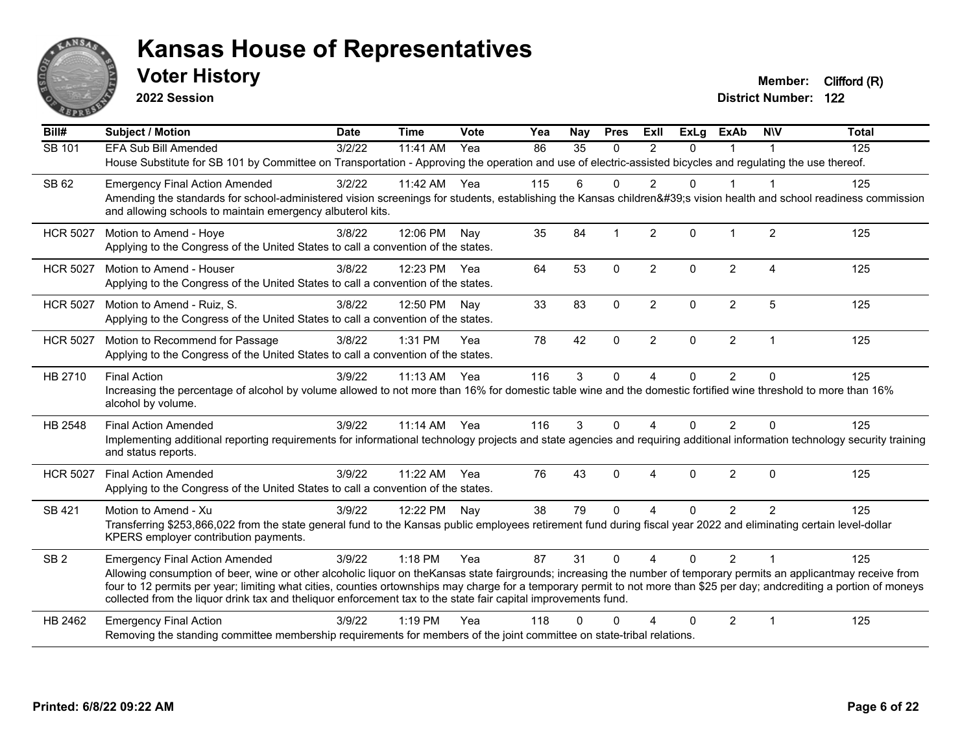

**2022 Session**

**Voter History Member:** Clifford (R)

| Bill#           | <b>Subject / Motion</b>                                                                                                                                                                                                                                                                                                                                                                                                                                             | <b>Date</b> | <b>Time</b> | Vote | Yea | Nay      | <b>Pres</b>  | ExII           | <b>ExLg</b> | <b>ExAb</b>    | <b>NIV</b>             | <b>Total</b> |
|-----------------|---------------------------------------------------------------------------------------------------------------------------------------------------------------------------------------------------------------------------------------------------------------------------------------------------------------------------------------------------------------------------------------------------------------------------------------------------------------------|-------------|-------------|------|-----|----------|--------------|----------------|-------------|----------------|------------------------|--------------|
| SB 101          | <b>EFA Sub Bill Amended</b>                                                                                                                                                                                                                                                                                                                                                                                                                                         | 3/2/22      | 11:41 AM    | Yea  | 86  | 35       | $\Omega$     | 2              | $\Omega$    |                |                        | 125          |
|                 | House Substitute for SB 101 by Committee on Transportation - Approving the operation and use of electric-assisted bicycles and regulating the use thereof.                                                                                                                                                                                                                                                                                                          |             |             |      |     |          |              |                |             |                |                        |              |
| SB 62           | <b>Emergency Final Action Amended</b>                                                                                                                                                                                                                                                                                                                                                                                                                               | 3/2/22      | 11:42 AM    | Yea  | 115 | 6        | $\Omega$     | $\overline{2}$ | $\Omega$    | $\overline{1}$ | -1                     | 125          |
|                 | Amending the standards for school-administered vision screenings for students, establishing the Kansas children's vision health and school readiness commission<br>and allowing schools to maintain emergency albuterol kits.                                                                                                                                                                                                                                       |             |             |      |     |          |              |                |             |                |                        |              |
| <b>HCR 5027</b> | Motion to Amend - Hoye                                                                                                                                                                                                                                                                                                                                                                                                                                              | 3/8/22      | 12:06 PM    | Nav  | 35  | 84       |              | $\overline{2}$ | $\Omega$    | $\mathbf 1$    | $\overline{2}$         | 125          |
|                 | Applying to the Congress of the United States to call a convention of the states.                                                                                                                                                                                                                                                                                                                                                                                   |             |             |      |     |          |              |                |             |                |                        |              |
| <b>HCR 5027</b> | Motion to Amend - Houser                                                                                                                                                                                                                                                                                                                                                                                                                                            | 3/8/22      | 12:23 PM    | Yea  | 64  | 53       | $\mathbf{0}$ | $\overline{2}$ | $\Omega$    | $\overline{2}$ | $\boldsymbol{\Lambda}$ | 125          |
|                 | Applying to the Congress of the United States to call a convention of the states.                                                                                                                                                                                                                                                                                                                                                                                   |             |             |      |     |          |              |                |             |                |                        |              |
| <b>HCR 5027</b> | Motion to Amend - Ruiz, S.                                                                                                                                                                                                                                                                                                                                                                                                                                          | 3/8/22      | 12:50 PM    | Nav  | 33  | 83       | $\Omega$     | $\overline{2}$ | $\Omega$    | $\overline{2}$ | 5                      | 125          |
|                 | Applying to the Congress of the United States to call a convention of the states.                                                                                                                                                                                                                                                                                                                                                                                   |             |             |      |     |          |              |                |             |                |                        |              |
| <b>HCR 5027</b> | Motion to Recommend for Passage                                                                                                                                                                                                                                                                                                                                                                                                                                     | 3/8/22      | 1:31 PM     | Yea  | 78  | 42       | $\mathbf{0}$ | $\overline{2}$ | $\Omega$    | $\overline{2}$ | $\overline{1}$         | 125          |
|                 | Applying to the Congress of the United States to call a convention of the states.                                                                                                                                                                                                                                                                                                                                                                                   |             |             |      |     |          |              |                |             |                |                        |              |
| HB 2710         | <b>Final Action</b>                                                                                                                                                                                                                                                                                                                                                                                                                                                 | 3/9/22      | $11:13$ AM  | Yea  | 116 | 3        | $\Omega$     | $\overline{A}$ | 0           | $\overline{2}$ | $\Omega$               | 125          |
|                 | Increasing the percentage of alcohol by volume allowed to not more than 16% for domestic table wine and the domestic fortified wine threshold to more than 16%<br>alcohol by volume.                                                                                                                                                                                                                                                                                |             |             |      |     |          |              |                |             |                |                        |              |
| HB 2548         | <b>Final Action Amended</b>                                                                                                                                                                                                                                                                                                                                                                                                                                         | 3/9/22      | $11:14$ AM  | Yea  | 116 | 3        | $\Omega$     | 4              | 0           | 2              | $\Omega$               | 125          |
|                 | Implementing additional reporting requirements for informational technology projects and state agencies and requiring additional information technology security training<br>and status reports.                                                                                                                                                                                                                                                                    |             |             |      |     |          |              |                |             |                |                        |              |
| <b>HCR 5027</b> | <b>Final Action Amended</b>                                                                                                                                                                                                                                                                                                                                                                                                                                         | 3/9/22      | 11:22 AM    | Yea  | 76  | 43       | $\Omega$     | 4              | $\Omega$    | $\overline{2}$ | $\mathbf{0}$           | 125          |
|                 | Applying to the Congress of the United States to call a convention of the states.                                                                                                                                                                                                                                                                                                                                                                                   |             |             |      |     |          |              |                |             |                |                        |              |
| SB 421          | Motion to Amend - Xu                                                                                                                                                                                                                                                                                                                                                                                                                                                | 3/9/22      | 12:22 PM    | Nay  | 38  | 79       | $\Omega$     | Δ              | $\Omega$    | 2              | $\mathfrak{p}$         | 125          |
|                 | Transferring \$253,866,022 from the state general fund to the Kansas public employees retirement fund during fiscal year 2022 and eliminating certain level-dollar<br>KPERS employer contribution payments.                                                                                                                                                                                                                                                         |             |             |      |     |          |              |                |             |                |                        |              |
| SB <sub>2</sub> | <b>Emergency Final Action Amended</b>                                                                                                                                                                                                                                                                                                                                                                                                                               | 3/9/22      | 1:18 PM     | Yea  | 87  | 31       | $\mathbf{0}$ | $\overline{4}$ | $\Omega$    | $\overline{2}$ | -1                     | 125          |
|                 | Allowing consumption of beer, wine or other alcoholic liquor on theKansas state fairgrounds; increasing the number of temporary permits an applicantmay receive from<br>four to 12 permits per year; limiting what cities, counties ortownships may charge for a temporary permit to not more than \$25 per day; andcrediting a portion of moneys<br>collected from the liquor drink tax and theliquor enforcement tax to the state fair capital improvements fund. |             |             |      |     |          |              |                |             |                |                        |              |
| HB 2462         | <b>Emergency Final Action</b>                                                                                                                                                                                                                                                                                                                                                                                                                                       | 3/9/22      | $1:19$ PM   | Yea  | 118 | $\Omega$ | ∩            |                | $\Omega$    | 2              | $\overline{1}$         | 125          |
|                 | Removing the standing committee membership requirements for members of the joint committee on state-tribal relations.                                                                                                                                                                                                                                                                                                                                               |             |             |      |     |          |              |                |             |                |                        |              |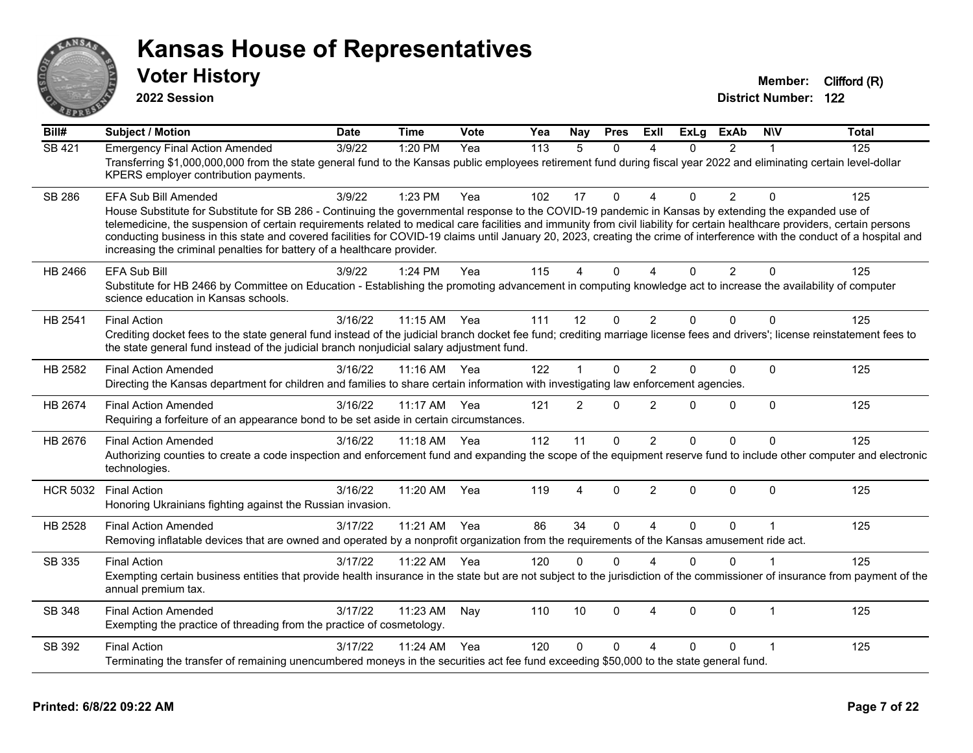

**2022 Session**

**Voter History Member:** Clifford (R)

| $\overline{BiII#}$ | <b>Subject / Motion</b>                                                                                                                                                                                                                                                                                                                                                                                                                                                                                                                                                                                                      | <b>Date</b> | <b>Time</b> | Vote | Yea | Nay            | <b>Pres</b> | ExII                     | <b>ExLg</b> | <b>ExAb</b>    | <b>NIV</b>   | <b>Total</b> |
|--------------------|------------------------------------------------------------------------------------------------------------------------------------------------------------------------------------------------------------------------------------------------------------------------------------------------------------------------------------------------------------------------------------------------------------------------------------------------------------------------------------------------------------------------------------------------------------------------------------------------------------------------------|-------------|-------------|------|-----|----------------|-------------|--------------------------|-------------|----------------|--------------|--------------|
| <b>SB 421</b>      | <b>Emergency Final Action Amended</b><br>Transferring \$1,000,000,000 from the state general fund to the Kansas public employees retirement fund during fiscal year 2022 and eliminating certain level-dollar<br>KPERS employer contribution payments.                                                                                                                                                                                                                                                                                                                                                                       | 3/9/22      | 1:20 PM     | Yea  | 113 | 5              | $\Omega$    | 4                        | 0           | $\overline{2}$ |              | 125          |
| <b>SB 286</b>      | <b>EFA Sub Bill Amended</b><br>House Substitute for Substitute for SB 286 - Continuing the governmental response to the COVID-19 pandemic in Kansas by extending the expanded use of<br>telemedicine, the suspension of certain requirements related to medical care facilities and immunity from civil liability for certain healthcare providers, certain persons<br>conducting business in this state and covered facilities for COVID-19 claims until January 20, 2023, creating the crime of interference with the conduct of a hospital and<br>increasing the criminal penalties for battery of a healthcare provider. | 3/9/22      | 1:23 PM     | Yea  | 102 | 17             | $\Omega$    | $\Delta$                 | 0           | $\overline{2}$ | $\Omega$     | 125          |
| HB 2466            | EFA Sub Bill<br>Substitute for HB 2466 by Committee on Education - Establishing the promoting advancement in computing knowledge act to increase the availability of computer<br>science education in Kansas schools.                                                                                                                                                                                                                                                                                                                                                                                                        | 3/9/22      | 1:24 PM     | Yea  | 115 | 4              | $\Omega$    | $\boldsymbol{\varDelta}$ | $\Omega$    | $\overline{2}$ | $\Omega$     | 125          |
| HB 2541            | <b>Final Action</b><br>Crediting docket fees to the state general fund instead of the judicial branch docket fee fund; crediting marriage license fees and drivers'; license reinstatement fees to<br>the state general fund instead of the judicial branch nonjudicial salary adjustment fund.                                                                                                                                                                                                                                                                                                                              | 3/16/22     | 11:15 AM    | Yea  | 111 | 12             | $\Omega$    | 2                        | $\Omega$    | $\Omega$       | $\Omega$     | 125          |
| HB 2582            | <b>Final Action Amended</b><br>Directing the Kansas department for children and families to share certain information with investigating law enforcement agencies.                                                                                                                                                                                                                                                                                                                                                                                                                                                           | 3/16/22     | $11:16$ AM  | Yea  | 122 | 1              | $\Omega$    | 2                        | $\Omega$    | $\Omega$       | $\Omega$     | 125          |
| HB 2674            | <b>Final Action Amended</b><br>Requiring a forfeiture of an appearance bond to be set aside in certain circumstances.                                                                                                                                                                                                                                                                                                                                                                                                                                                                                                        | 3/16/22     | 11:17 AM    | Yea  | 121 | $\overline{2}$ | $\Omega$    | $\overline{2}$           | 0           | $\Omega$       | $\mathbf{0}$ | 125          |
| HB 2676            | <b>Final Action Amended</b><br>Authorizing counties to create a code inspection and enforcement fund and expanding the scope of the equipment reserve fund to include other computer and electronic<br>technologies.                                                                                                                                                                                                                                                                                                                                                                                                         | 3/16/22     | 11:18 AM    | Yea  | 112 | 11             | $\Omega$    | 2                        | 0           | $\Omega$       | $\Omega$     | 125          |
| <b>HCR 5032</b>    | <b>Final Action</b><br>Honoring Ukrainians fighting against the Russian invasion.                                                                                                                                                                                                                                                                                                                                                                                                                                                                                                                                            | 3/16/22     | 11:20 AM    | Yea  | 119 | 4              | $\Omega$    | $\overline{2}$           | $\Omega$    | $\Omega$       | $\Omega$     | 125          |
| HB 2528            | <b>Final Action Amended</b><br>Removing inflatable devices that are owned and operated by a nonprofit organization from the requirements of the Kansas amusement ride act.                                                                                                                                                                                                                                                                                                                                                                                                                                                   | 3/17/22     | 11:21 AM    | Yea  | 86  | 34             | $\Omega$    | $\boldsymbol{\Lambda}$   | $\Omega$    | $\Omega$       | $\mathbf{1}$ | 125          |
| SB 335             | <b>Final Action</b><br>Exempting certain business entities that provide health insurance in the state but are not subject to the jurisdiction of the commissioner of insurance from payment of the<br>annual premium tax.                                                                                                                                                                                                                                                                                                                                                                                                    | 3/17/22     | 11:22 AM    | Yea  | 120 | $\Omega$       | $\Omega$    | $\boldsymbol{\Lambda}$   | 0           | $\Omega$       |              | 125          |
| SB 348             | <b>Final Action Amended</b><br>Exempting the practice of threading from the practice of cosmetology.                                                                                                                                                                                                                                                                                                                                                                                                                                                                                                                         | 3/17/22     | 11:23 AM    | Nay  | 110 | 10             | $\Omega$    | $\boldsymbol{\Lambda}$   | $\Omega$    | $\Omega$       | $\mathbf 1$  | 125          |
| SB 392             | <b>Final Action</b><br>Terminating the transfer of remaining unencumbered moneys in the securities act fee fund exceeding \$50,000 to the state general fund.                                                                                                                                                                                                                                                                                                                                                                                                                                                                | 3/17/22     | 11:24 AM    | Yea  | 120 | $\Omega$       | $\Omega$    | $\lambda$                | 0           | 0              |              | 125          |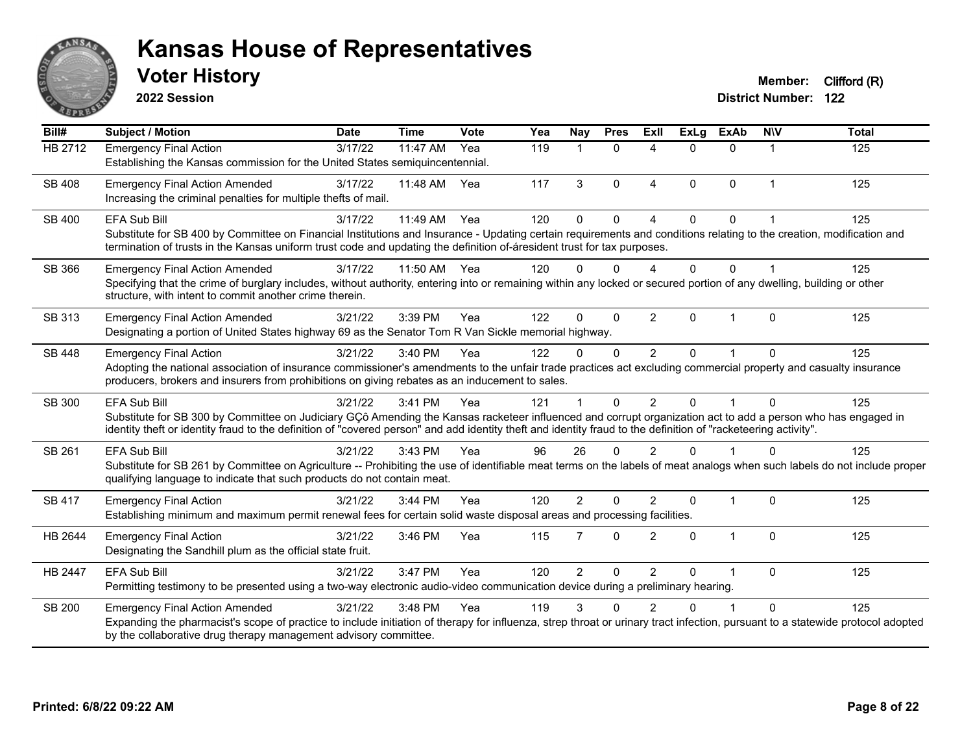

**2022 Session**

| Bill#          | <b>Subject / Motion</b>                                                                                                                                                                                                                                                                                                                               | <b>Date</b> | <b>Time</b> | Vote | Yea | Nay            | <b>Pres</b>  | ExII           | <b>ExLg</b>  | <b>ExAb</b>    | <b>NIV</b>     | <b>Total</b> |
|----------------|-------------------------------------------------------------------------------------------------------------------------------------------------------------------------------------------------------------------------------------------------------------------------------------------------------------------------------------------------------|-------------|-------------|------|-----|----------------|--------------|----------------|--------------|----------------|----------------|--------------|
| <b>HB 2712</b> | <b>Emergency Final Action</b><br>Establishing the Kansas commission for the United States semiquincentennial.                                                                                                                                                                                                                                         | 3/17/22     | 11:47 AM    | Yea  | 119 |                | $\mathbf{0}$ | 4              | $\Omega$     | $\Omega$       | 1              | 125          |
| <b>SB 408</b>  | <b>Emergency Final Action Amended</b><br>Increasing the criminal penalties for multiple thefts of mail.                                                                                                                                                                                                                                               | 3/17/22     | 11:48 AM    | Yea  | 117 | 3              | $\Omega$     | $\overline{4}$ | $\Omega$     | $\mathbf{0}$   | $\mathbf{1}$   | 125          |
| SB 400         | <b>EFA Sub Bill</b><br>Substitute for SB 400 by Committee on Financial Institutions and Insurance - Updating certain requirements and conditions relating to the creation, modification and<br>termination of trusts in the Kansas uniform trust code and updating the definition of-áresident trust for tax purposes.                                | 3/17/22     | 11:49 AM    | Yea  | 120 | $\Omega$       | $\Omega$     | 4              | $\Omega$     | $\Omega$       |                | 125          |
| SB 366         | <b>Emergency Final Action Amended</b><br>Specifying that the crime of burglary includes, without authority, entering into or remaining within any locked or secured portion of any dwelling, building or other<br>structure, with intent to commit another crime therein.                                                                             | 3/17/22     | 11:50 AM    | Yea  | 120 | 0              | $\Omega$     | Δ              | $\Omega$     | 0              |                | 125          |
| SB 313         | <b>Emergency Final Action Amended</b><br>Designating a portion of United States highway 69 as the Senator Tom R Van Sickle memorial highway.                                                                                                                                                                                                          | 3/21/22     | 3:39 PM     | Yea  | 122 | $\Omega$       | $\Omega$     | 2              | $\Omega$     | 1              | $\Omega$       | 125          |
| <b>SB 448</b>  | <b>Emergency Final Action</b><br>Adopting the national association of insurance commissioner's amendments to the unfair trade practices act excluding commercial property and casualty insurance<br>producers, brokers and insurers from prohibitions on giving rebates as an inducement to sales.                                                    | 3/21/22     | 3:40 PM     | Yea  | 122 | 0              | $\mathbf 0$  | $\overline{c}$ | 0            |                | 0              | 125          |
| SB 300         | <b>EFA Sub Bill</b><br>Substitute for SB 300 by Committee on Judiciary GÇô Amending the Kansas racketeer influenced and corrupt organization act to add a person who has engaged in<br>identity theft or identity fraud to the definition of "covered person" and add identity theft and identity fraud to the definition of "racketeering activity". | 3/21/22     | 3:41 PM     | Yea  | 121 |                | 0            | $\overline{2}$ | $\Omega$     |                | $\overline{0}$ | 125          |
| SB 261         | EFA Sub Bill<br>Substitute for SB 261 by Committee on Agriculture -- Prohibiting the use of identifiable meat terms on the labels of meat analogs when such labels do not include proper<br>qualifying language to indicate that such products do not contain meat.                                                                                   | 3/21/22     | 3:43 PM     | Yea  | 96  | 26             | $\Omega$     | $\mathfrak{p}$ |              |                | 0              | 125          |
| <b>SB 417</b>  | <b>Emergency Final Action</b><br>Establishing minimum and maximum permit renewal fees for certain solid waste disposal areas and processing facilities.                                                                                                                                                                                               | 3/21/22     | 3:44 PM     | Yea  | 120 | $\overline{2}$ | $\Omega$     | $\mathfrak{p}$ | $\mathbf{0}$ | $\mathbf{1}$   | $\Omega$       | 125          |
| HB 2644        | <b>Emergency Final Action</b><br>Designating the Sandhill plum as the official state fruit.                                                                                                                                                                                                                                                           | 3/21/22     | 3:46 PM     | Yea  | 115 | $\overline{7}$ | $\Omega$     | $\overline{2}$ | $\Omega$     | $\overline{1}$ | 0              | 125          |
| HB 2447        | <b>EFA Sub Bill</b><br>Permitting testimony to be presented using a two-way electronic audio-video communication device during a preliminary hearing.                                                                                                                                                                                                 | 3/21/22     | 3:47 PM     | Yea  | 120 | $\overline{2}$ | 0            | $\overline{2}$ | 0            |                | 0              | 125          |
| SB 200         | <b>Emergency Final Action Amended</b><br>Expanding the pharmacist's scope of practice to include initiation of therapy for influenza, strep throat or urinary tract infection, pursuant to a statewide protocol adopted<br>by the collaborative drug therapy management advisory committee.                                                           | 3/21/22     | 3:48 PM     | Yea  | 119 | 3              | U            |                |              |                | 0              | 125          |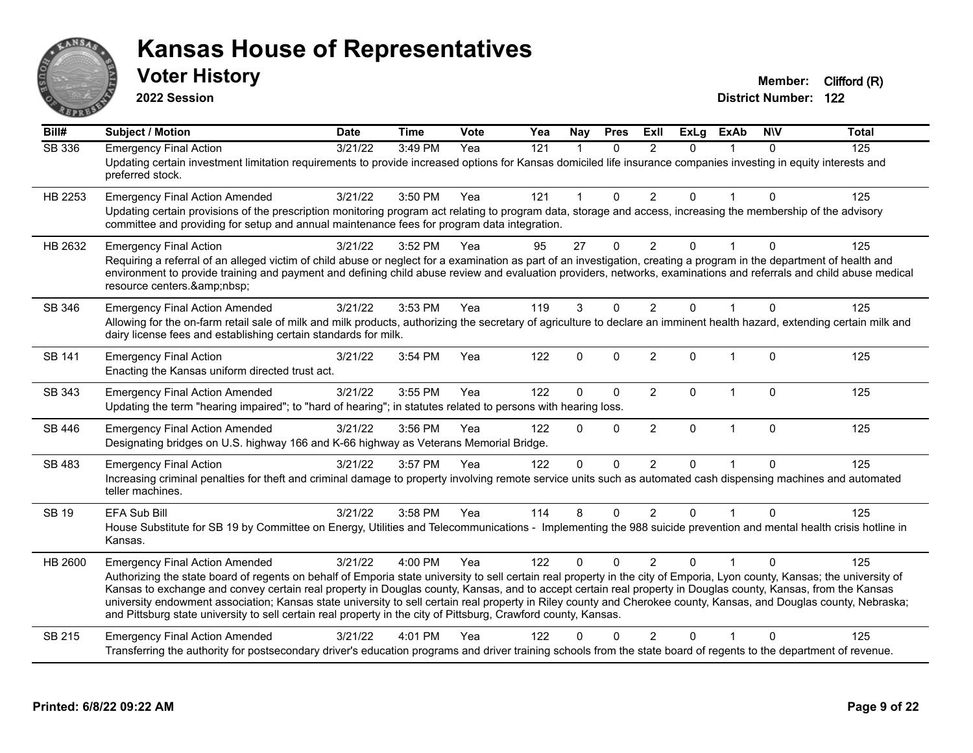

**2022 Session**

| Bill#         | <b>Subject / Motion</b>                                                                                                                                                                                                                                                                                                                                                                                                                                                                                                                                                                                                                                                      | <b>Date</b>      | <b>Time</b> | Vote | Yea              | <b>Nay</b>     | <b>Pres</b>  | ExIl           | ExLg        | <b>ExAb</b>    | <b>NIV</b>   | <b>Total</b> |
|---------------|------------------------------------------------------------------------------------------------------------------------------------------------------------------------------------------------------------------------------------------------------------------------------------------------------------------------------------------------------------------------------------------------------------------------------------------------------------------------------------------------------------------------------------------------------------------------------------------------------------------------------------------------------------------------------|------------------|-------------|------|------------------|----------------|--------------|----------------|-------------|----------------|--------------|--------------|
| <b>SB 336</b> | <b>Emergency Final Action</b><br>Updating certain investment limitation requirements to provide increased options for Kansas domiciled life insurance companies investing in equity interests and<br>preferred stock.                                                                                                                                                                                                                                                                                                                                                                                                                                                        | $\sqrt{3}/21/22$ | 3:49 PM     | Yea  | $\overline{121}$ | $\overline{1}$ | $\mathbf{0}$ | 2              | $\Omega$    | $\mathbf{1}$   | $\mathbf{0}$ | 125          |
| HB 2253       | <b>Emergency Final Action Amended</b><br>Updating certain provisions of the prescription monitoring program act relating to program data, storage and access, increasing the membership of the advisory<br>committee and providing for setup and annual maintenance fees for program data integration.                                                                                                                                                                                                                                                                                                                                                                       | 3/21/22          | 3:50 PM     | Yea  | 121              | 1              | $\Omega$     | $\overline{2}$ | $\Omega$    | 1              | $\Omega$     | 125          |
| HB 2632       | <b>Emergency Final Action</b><br>Requiring a referral of an alleged victim of child abuse or neglect for a examination as part of an investigation, creating a program in the department of health and<br>environment to provide training and payment and defining child abuse review and evaluation providers, networks, examinations and referrals and child abuse medical<br>resource centers.                                                                                                                                                                                                                                                                            | 3/21/22          | 3:52 PM     | Yea  | 95               | 27             | 0            | $\overline{2}$ | 0           |                | 0            | 125          |
| SB 346        | <b>Emergency Final Action Amended</b><br>Allowing for the on-farm retail sale of milk and milk products, authorizing the secretary of agriculture to declare an imminent health hazard, extending certain milk and<br>dairy license fees and establishing certain standards for milk.                                                                                                                                                                                                                                                                                                                                                                                        | 3/21/22          | 3:53 PM     | Yea  | 119              | 3              | 0            | $\overline{2}$ | $\Omega$    |                | $\mathbf{0}$ | 125          |
| <b>SB 141</b> | <b>Emergency Final Action</b><br>Enacting the Kansas uniform directed trust act.                                                                                                                                                                                                                                                                                                                                                                                                                                                                                                                                                                                             | 3/21/22          | 3:54 PM     | Yea  | 122              | $\mathbf 0$    | $\Omega$     | $\overline{2}$ | $\Omega$    | $\mathbf{1}$   | $\Omega$     | 125          |
| SB 343        | <b>Emergency Final Action Amended</b><br>Updating the term "hearing impaired"; to "hard of hearing"; in statutes related to persons with hearing loss.                                                                                                                                                                                                                                                                                                                                                                                                                                                                                                                       | 3/21/22          | 3:55 PM     | Yea  | 122              | $\Omega$       | $\Omega$     | $\overline{2}$ | $\mathbf 0$ | $\mathbf{1}$   | $\Omega$     | 125          |
| <b>SB 446</b> | <b>Emergency Final Action Amended</b><br>Designating bridges on U.S. highway 166 and K-66 highway as Veterans Memorial Bridge.                                                                                                                                                                                                                                                                                                                                                                                                                                                                                                                                               | 3/21/22          | 3:56 PM     | Yea  | 122              | $\Omega$       | 0            | $\overline{2}$ | $\Omega$    | $\mathbf{1}$   | $\mathbf{0}$ | 125          |
| SB 483        | <b>Emergency Final Action</b><br>Increasing criminal penalties for theft and criminal damage to property involving remote service units such as automated cash dispensing machines and automated<br>teller machines.                                                                                                                                                                                                                                                                                                                                                                                                                                                         | 3/21/22          | 3:57 PM     | Yea  | 122              | $\Omega$       | 0            | 2              | $\Omega$    | $\overline{1}$ | $\mathbf{0}$ | 125          |
| <b>SB 19</b>  | <b>EFA Sub Bill</b><br>House Substitute for SB 19 by Committee on Energy, Utilities and Telecommunications - Implementing the 988 suicide prevention and mental health crisis hotline in<br>Kansas.                                                                                                                                                                                                                                                                                                                                                                                                                                                                          | 3/21/22          | 3:58 PM     | Yea  | 114              | 8              | $\Omega$     | $\overline{2}$ | $\Omega$    |                | $\Omega$     | 125          |
| HB 2600       | <b>Emergency Final Action Amended</b><br>Authorizing the state board of regents on behalf of Emporia state university to sell certain real property in the city of Emporia, Lyon county, Kansas; the university of<br>Kansas to exchange and convey certain real property in Douglas county, Kansas, and to accept certain real property in Douglas county, Kansas, from the Kansas<br>university endowment association; Kansas state university to sell certain real property in Riley county and Cherokee county, Kansas, and Douglas county, Nebraska;<br>and Pittsburg state university to sell certain real property in the city of Pittsburg, Crawford county, Kansas. | 3/21/22          | 4:00 PM     | Yea  | 122              | $\Omega$       | $\Omega$     | $\mathfrak{p}$ | U           |                | ∩            | 125          |
| SB 215        | <b>Emergency Final Action Amended</b><br>Transferring the authority for postsecondary driver's education programs and driver training schools from the state board of regents to the department of revenue.                                                                                                                                                                                                                                                                                                                                                                                                                                                                  | 3/21/22          | 4:01 PM     | Yea  | 122              | 0              | 0            | 2              | 0           |                | $\Omega$     | 125          |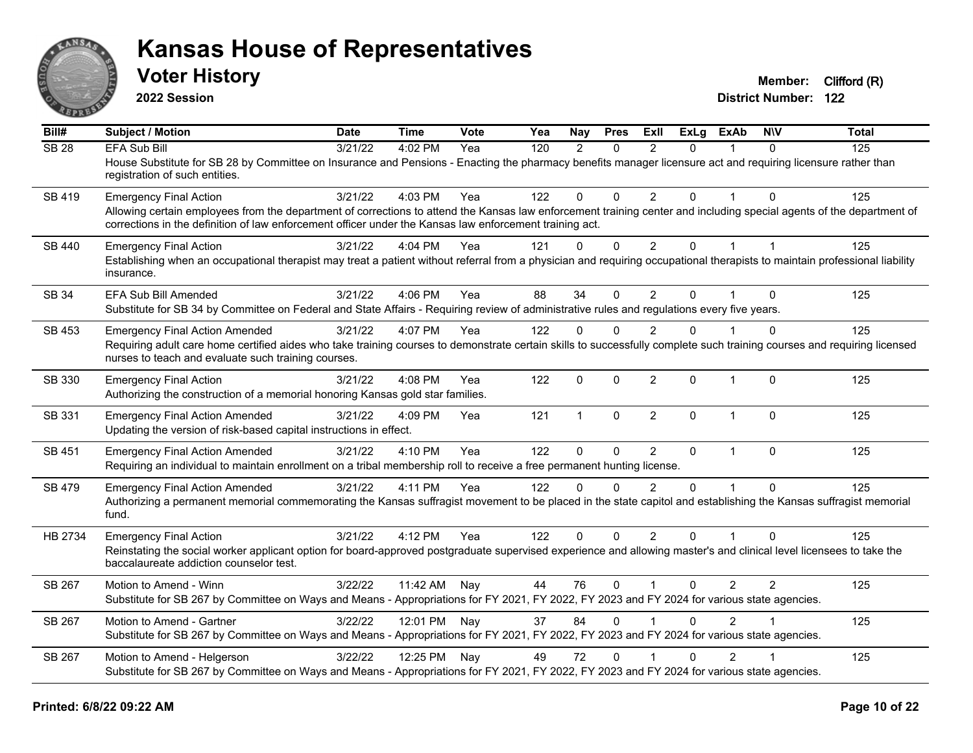

**2022 Session**

| Bill#        | Subject / Motion                                                                                                                                                                                                                                                                | <b>Date</b> | <b>Time</b>  | <b>Vote</b> | Yea | <b>Nay</b>   | <b>Pres</b>  | ExII           | <b>ExLg</b>    | ExAb           | <b>NIV</b>     | <b>Total</b> |
|--------------|---------------------------------------------------------------------------------------------------------------------------------------------------------------------------------------------------------------------------------------------------------------------------------|-------------|--------------|-------------|-----|--------------|--------------|----------------|----------------|----------------|----------------|--------------|
| <b>SB 28</b> | EFA Sub Bill                                                                                                                                                                                                                                                                    | 3/21/22     | 4:02 PM      | Yea         | 120 | 2            | $\Omega$     | $\mathcal{P}$  | 0              |                | $\Omega$       | 125          |
|              | House Substitute for SB 28 by Committee on Insurance and Pensions - Enacting the pharmacy benefits manager licensure act and requiring licensure rather than<br>registration of such entities.                                                                                  |             |              |             |     |              |              |                |                |                |                |              |
| SB 419       | <b>Emergency Final Action</b>                                                                                                                                                                                                                                                   | 3/21/22     | 4:03 PM      | Yea         | 122 | $\mathbf{0}$ | $\Omega$     | $\overline{2}$ | $\Omega$       |                | $\Omega$       | 125          |
|              | Allowing certain employees from the department of corrections to attend the Kansas law enforcement training center and including special agents of the department of<br>corrections in the definition of law enforcement officer under the Kansas law enforcement training act. |             |              |             |     |              |              |                |                |                |                |              |
| SB 440       | <b>Emergency Final Action</b>                                                                                                                                                                                                                                                   | 3/21/22     | 4:04 PM      | Yea         | 121 | $\Omega$     | $\mathbf{0}$ | $\overline{2}$ | $\overline{0}$ |                | $\overline{1}$ | 125          |
|              | Establishing when an occupational therapist may treat a patient without referral from a physician and requiring occupational therapists to maintain professional liability<br>insurance.                                                                                        |             |              |             |     |              |              |                |                |                |                |              |
| SB 34        | EFA Sub Bill Amended                                                                                                                                                                                                                                                            | 3/21/22     | 4:06 PM      | Yea         | 88  | 34           | $\mathbf{0}$ | $\overline{2}$ | 0              |                | $\Omega$       | 125          |
|              | Substitute for SB 34 by Committee on Federal and State Affairs - Requiring review of administrative rules and regulations every five years.                                                                                                                                     |             |              |             |     |              |              |                |                |                |                |              |
| SB 453       | <b>Emergency Final Action Amended</b>                                                                                                                                                                                                                                           | 3/21/22     | 4:07 PM      | Yea         | 122 | $\Omega$     | $\Omega$     | $\overline{2}$ | $\Omega$       |                | $\Omega$       | 125          |
|              | Requiring adult care home certified aides who take training courses to demonstrate certain skills to successfully complete such training courses and requiring licensed<br>nurses to teach and evaluate such training courses.                                                  |             |              |             |     |              |              |                |                |                |                |              |
| SB 330       | <b>Emergency Final Action</b><br>Authorizing the construction of a memorial honoring Kansas gold star families.                                                                                                                                                                 | 3/21/22     | 4:08 PM      | Yea         | 122 | $\mathbf 0$  | $\mathbf{0}$ | $\overline{2}$ | $\mathbf 0$    | $\overline{1}$ | $\mathbf{0}$   | 125          |
|              |                                                                                                                                                                                                                                                                                 |             |              |             |     | $\mathbf{1}$ | $\mathbf{0}$ |                | $\Omega$       | 1              | $\Omega$       |              |
| SB 331       | <b>Emergency Final Action Amended</b><br>Updating the version of risk-based capital instructions in effect.                                                                                                                                                                     | 3/21/22     | 4:09 PM      | Yea         | 121 |              |              | $\overline{2}$ |                |                |                | 125          |
| SB 451       | <b>Emergency Final Action Amended</b>                                                                                                                                                                                                                                           | 3/21/22     | 4:10 PM      | Yea         | 122 | $\Omega$     | $\mathbf 0$  | $\overline{2}$ | $\mathbf 0$    | $\mathbf{1}$   | $\Omega$       | 125          |
|              | Requiring an individual to maintain enrollment on a tribal membership roll to receive a free permanent hunting license.                                                                                                                                                         |             |              |             |     |              |              |                |                |                |                |              |
| SB 479       | <b>Emergency Final Action Amended</b>                                                                                                                                                                                                                                           | 3/21/22     | 4:11 PM      | Yea         | 122 | $\Omega$     | $\Omega$     | $\mathcal{P}$  | $\Omega$       | $\mathbf{1}$   | $\Omega$       | 125          |
|              | Authorizing a permanent memorial commemorating the Kansas suffragist movement to be placed in the state capitol and establishing the Kansas suffragist memorial<br>fund.                                                                                                        |             |              |             |     |              |              |                |                |                |                |              |
| HB 2734      | <b>Emergency Final Action</b>                                                                                                                                                                                                                                                   | 3/21/22     | 4:12 PM      | Yea         | 122 | $\mathbf{0}$ | $\mathbf{0}$ | $\overline{2}$ | $\Omega$       |                | $\Omega$       | 125          |
|              | Reinstating the social worker applicant option for board-approved postgraduate supervised experience and allowing master's and clinical level licensees to take the<br>baccalaureate addiction counselor test.                                                                  |             |              |             |     |              |              |                |                |                |                |              |
| SB 267       | Motion to Amend - Winn                                                                                                                                                                                                                                                          | 3/22/22     | 11:42 AM     | Nay         | 44  | 76           | $\mathbf 0$  | $\mathbf{1}$   | $\Omega$       | 2              | $\overline{2}$ | 125          |
|              | Substitute for SB 267 by Committee on Ways and Means - Appropriations for FY 2021, FY 2022, FY 2023 and FY 2024 for various state agencies.                                                                                                                                     |             |              |             |     |              |              |                |                |                |                |              |
| SB 267       | Motion to Amend - Gartner                                                                                                                                                                                                                                                       | 3/22/22     | 12:01 PM Nay |             | 37  | 84           | $\Omega$     |                | $\Omega$       | $\mathcal{P}$  |                | 125          |
|              | Substitute for SB 267 by Committee on Ways and Means - Appropriations for FY 2021, FY 2022, FY 2023 and FY 2024 for various state agencies.                                                                                                                                     |             |              |             |     |              |              |                |                |                |                |              |
| SB 267       | Motion to Amend - Helgerson                                                                                                                                                                                                                                                     | 3/22/22     | 12:25 PM Nay |             | 49  | 72           | $\Omega$     |                | $\Omega$       | $\overline{2}$ |                | 125          |
|              | Substitute for SB 267 by Committee on Ways and Means - Appropriations for FY 2021, FY 2022, FY 2023 and FY 2024 for various state agencies.                                                                                                                                     |             |              |             |     |              |              |                |                |                |                |              |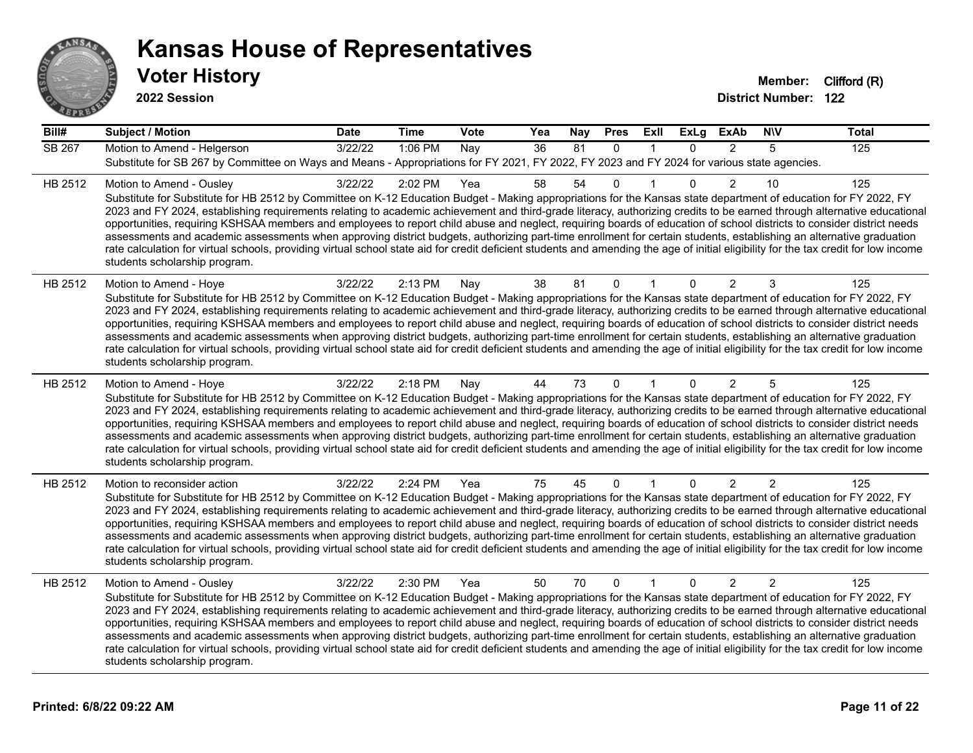

| Bill#         | <b>Subject / Motion</b>                                                                                                                                                                                                                                                                                                                                                                                                                                                                                                                                                                                                                                                                                                                                                                                                                                                                                                                             | <b>Date</b> | <b>Time</b> | <b>Vote</b> | Yea | <b>Nay</b> | <b>Pres</b>  | Exll         | <b>ExLg</b> | <b>ExAb</b>    | <b>NIV</b>     | <b>Total</b> |
|---------------|-----------------------------------------------------------------------------------------------------------------------------------------------------------------------------------------------------------------------------------------------------------------------------------------------------------------------------------------------------------------------------------------------------------------------------------------------------------------------------------------------------------------------------------------------------------------------------------------------------------------------------------------------------------------------------------------------------------------------------------------------------------------------------------------------------------------------------------------------------------------------------------------------------------------------------------------------------|-------------|-------------|-------------|-----|------------|--------------|--------------|-------------|----------------|----------------|--------------|
| <b>SB 267</b> | Motion to Amend - Helgerson<br>Substitute for SB 267 by Committee on Ways and Means - Appropriations for FY 2021, FY 2022, FY 2023 and FY 2024 for various state agencies.                                                                                                                                                                                                                                                                                                                                                                                                                                                                                                                                                                                                                                                                                                                                                                          | 3/22/22     | 1:06 PM     | Nay         | 36  | 81         | $\mathbf{0}$ | $\mathbf{1}$ | $\Omega$    | 2              | 5              | 125          |
| HB 2512       | Motion to Amend - Ousley<br>Substitute for Substitute for HB 2512 by Committee on K-12 Education Budget - Making appropriations for the Kansas state department of education for FY 2022, FY<br>2023 and FY 2024, establishing requirements relating to academic achievement and third-grade literacy, authorizing credits to be earned through alternative educational<br>opportunities, requiring KSHSAA members and employees to report child abuse and neglect, requiring boards of education of school districts to consider district needs<br>assessments and academic assessments when approving district budgets, authorizing part-time enrollment for certain students, establishing an alternative graduation<br>rate calculation for virtual schools, providing virtual school state aid for credit deficient students and amending the age of initial eligibility for the tax credit for low income<br>students scholarship program.    | 3/22/22     | 2:02 PM     | Yea         | 58  | 54         | $\mathbf 0$  | 1            | $\Omega$    | $\overline{2}$ | 10             | 125          |
| HB 2512       | Motion to Amend - Hoye<br>Substitute for Substitute for HB 2512 by Committee on K-12 Education Budget - Making appropriations for the Kansas state department of education for FY 2022, FY<br>2023 and FY 2024, establishing requirements relating to academic achievement and third-grade literacy, authorizing credits to be earned through alternative educational<br>opportunities, requiring KSHSAA members and employees to report child abuse and neglect, requiring boards of education of school districts to consider district needs<br>assessments and academic assessments when approving district budgets, authorizing part-time enrollment for certain students, establishing an alternative graduation<br>rate calculation for virtual schools, providing virtual school state aid for credit deficient students and amending the age of initial eligibility for the tax credit for low income<br>students scholarship program.      | 3/22/22     | 2:13 PM     | Nay         | 38  | 81         | $\Omega$     |              | $\Omega$    | 2              | 3              | 125          |
| HB 2512       | Motion to Amend - Hoye<br>Substitute for Substitute for HB 2512 by Committee on K-12 Education Budget - Making appropriations for the Kansas state department of education for FY 2022, FY<br>2023 and FY 2024, establishing requirements relating to academic achievement and third-grade literacy, authorizing credits to be earned through alternative educational<br>opportunities, requiring KSHSAA members and employees to report child abuse and neglect, requiring boards of education of school districts to consider district needs<br>assessments and academic assessments when approving district budgets, authorizing part-time enrollment for certain students, establishing an alternative graduation<br>rate calculation for virtual schools, providing virtual school state aid for credit deficient students and amending the age of initial eligibility for the tax credit for low income<br>students scholarship program.      | 3/22/22     | 2:18 PM     | Nay         | 44  | 73         | $\mathbf{0}$ |              | $\Omega$    | 2              | 5              | 125          |
| HB 2512       | Motion to reconsider action<br>Substitute for Substitute for HB 2512 by Committee on K-12 Education Budget - Making appropriations for the Kansas state department of education for FY 2022, FY<br>2023 and FY 2024, establishing requirements relating to academic achievement and third-grade literacy, authorizing credits to be earned through alternative educational<br>opportunities, requiring KSHSAA members and employees to report child abuse and neglect, requiring boards of education of school districts to consider district needs<br>assessments and academic assessments when approving district budgets, authorizing part-time enrollment for certain students, establishing an alternative graduation<br>rate calculation for virtual schools, providing virtual school state aid for credit deficient students and amending the age of initial eligibility for the tax credit for low income<br>students scholarship program. | 3/22/22     | 2:24 PM     | Yea         | 75  | 45         | 0            |              | $\Omega$    | $\overline{2}$ | $\overline{c}$ | 125          |
| HB 2512       | Motion to Amend - Ousley<br>Substitute for Substitute for HB 2512 by Committee on K-12 Education Budget - Making appropriations for the Kansas state department of education for FY 2022, FY<br>2023 and FY 2024, establishing requirements relating to academic achievement and third-grade literacy, authorizing credits to be earned through alternative educational<br>opportunities, requiring KSHSAA members and employees to report child abuse and neglect, requiring boards of education of school districts to consider district needs<br>assessments and academic assessments when approving district budgets, authorizing part-time enrollment for certain students, establishing an alternative graduation<br>rate calculation for virtual schools, providing virtual school state aid for credit deficient students and amending the age of initial eligibility for the tax credit for low income<br>students scholarship program.    | 3/22/22     | 2:30 PM     | Yea         | 50  | 70         | $\mathbf{0}$ | $\mathbf{1}$ | $\Omega$    | 2              | $\overline{2}$ | 125          |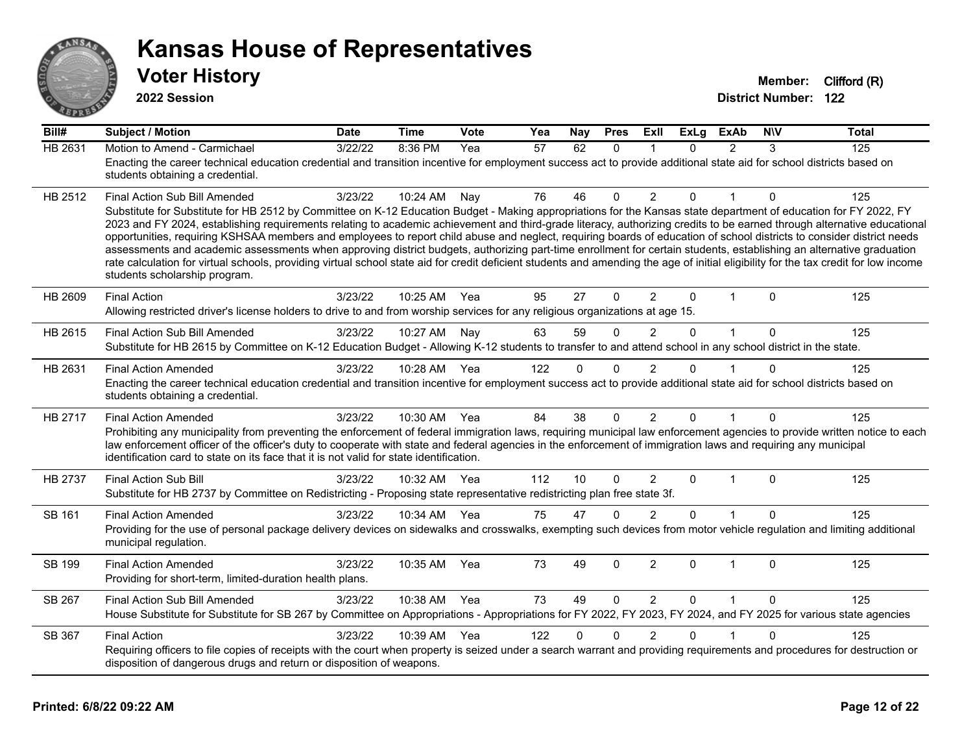

| Bill#   | <b>Subject / Motion</b>                                                                                                                                                                                                                                                                                                                                                                                                                                                                                                                                                                                                                                                                                                                                                                                                                                                                                                                               | <b>Date</b> | <b>Time</b> | Vote | Yea             | <b>Nay</b>      | <b>Pres</b>  | ExII           | ExLg         | <b>ExAb</b>    | <b>NIV</b>  | <b>Total</b> |
|---------|-------------------------------------------------------------------------------------------------------------------------------------------------------------------------------------------------------------------------------------------------------------------------------------------------------------------------------------------------------------------------------------------------------------------------------------------------------------------------------------------------------------------------------------------------------------------------------------------------------------------------------------------------------------------------------------------------------------------------------------------------------------------------------------------------------------------------------------------------------------------------------------------------------------------------------------------------------|-------------|-------------|------|-----------------|-----------------|--------------|----------------|--------------|----------------|-------------|--------------|
| HB 2631 | Motion to Amend - Carmichael<br>Enacting the career technical education credential and transition incentive for employment success act to provide additional state aid for school districts based on<br>students obtaining a credential.                                                                                                                                                                                                                                                                                                                                                                                                                                                                                                                                                                                                                                                                                                              | 3/22/22     | 8:36 PM     | Yea  | $\overline{57}$ | 62              | $\Omega$     |                | $\Omega$     | $\overline{2}$ | 3           | 125          |
| HB 2512 | Final Action Sub Bill Amended<br>Substitute for Substitute for HB 2512 by Committee on K-12 Education Budget - Making appropriations for the Kansas state department of education for FY 2022, FY<br>2023 and FY 2024, establishing requirements relating to academic achievement and third-grade literacy, authorizing credits to be earned through alternative educational<br>opportunities, requiring KSHSAA members and employees to report child abuse and neglect, requiring boards of education of school districts to consider district needs<br>assessments and academic assessments when approving district budgets, authorizing part-time enrollment for certain students, establishing an alternative graduation<br>rate calculation for virtual schools, providing virtual school state aid for credit deficient students and amending the age of initial eligibility for the tax credit for low income<br>students scholarship program. | 3/23/22     | 10:24 AM    | Nay  | 76              | 46              | $\mathbf 0$  | $\overline{2}$ | 0            | 1              | $\mathbf 0$ | 125          |
| HB 2609 | <b>Final Action</b><br>Allowing restricted driver's license holders to drive to and from worship services for any religious organizations at age 15.                                                                                                                                                                                                                                                                                                                                                                                                                                                                                                                                                                                                                                                                                                                                                                                                  | 3/23/22     | 10:25 AM    | Yea  | 95              | 27              | $\mathbf{0}$ | $\overline{2}$ | 0            | 1              | $\mathbf 0$ | 125          |
| HB 2615 | Final Action Sub Bill Amended<br>Substitute for HB 2615 by Committee on K-12 Education Budget - Allowing K-12 students to transfer to and attend school in any school district in the state.                                                                                                                                                                                                                                                                                                                                                                                                                                                                                                                                                                                                                                                                                                                                                          | 3/23/22     | 10:27 AM    | Nav  | 63              | 59              | $\Omega$     | 2              | 0            | $\mathbf{1}$   | $\Omega$    | 125          |
| HB 2631 | <b>Final Action Amended</b><br>Enacting the career technical education credential and transition incentive for employment success act to provide additional state aid for school districts based on<br>students obtaining a credential.                                                                                                                                                                                                                                                                                                                                                                                                                                                                                                                                                                                                                                                                                                               | 3/23/22     | 10:28 AM    | Yea  | 122             | 0               | $\Omega$     | $\overline{2}$ | 0            |                | $\Omega$    | 125          |
| HB 2717 | <b>Final Action Amended</b><br>Prohibiting any municipality from preventing the enforcement of federal immigration laws, requiring municipal law enforcement agencies to provide written notice to each<br>law enforcement officer of the officer's duty to cooperate with state and federal agencies in the enforcement of immigration laws and requiring any municipal<br>identification card to state on its face that it is not valid for state identification.                                                                                                                                                                                                                                                                                                                                                                                                                                                                                   | 3/23/22     | 10:30 AM    | Yea  | 84              | 38              | $\Omega$     | $\overline{2}$ | 0            | 1              | $\Omega$    | 125          |
| HB 2737 | <b>Final Action Sub Bill</b><br>Substitute for HB 2737 by Committee on Redistricting - Proposing state representative redistricting plan free state 3f.                                                                                                                                                                                                                                                                                                                                                                                                                                                                                                                                                                                                                                                                                                                                                                                               | 3/23/22     | 10:32 AM    | Yea  | 112             | 10 <sup>°</sup> | $\Omega$     | $\overline{2}$ | $\Omega$     | $\mathbf{1}$   | $\Omega$    | 125          |
| SB 161  | <b>Final Action Amended</b><br>Providing for the use of personal package delivery devices on sidewalks and crosswalks, exempting such devices from motor vehicle regulation and limiting additional<br>municipal regulation.                                                                                                                                                                                                                                                                                                                                                                                                                                                                                                                                                                                                                                                                                                                          | 3/23/22     | 10:34 AM    | Yea  | 75              | 47              | $\mathbf{0}$ | 2              | 0            | 1              | $\Omega$    | 125          |
| SB 199  | <b>Final Action Amended</b><br>Providing for short-term, limited-duration health plans.                                                                                                                                                                                                                                                                                                                                                                                                                                                                                                                                                                                                                                                                                                                                                                                                                                                               | 3/23/22     | 10:35 AM    | Yea  | 73              | 49              | $\Omega$     | $\overline{2}$ | 0            | 1              | $\Omega$    | 125          |
| SB 267  | Final Action Sub Bill Amended<br>House Substitute for Substitute for SB 267 by Committee on Appropriations - Appropriations for FY 2022, FY 2023, FY 2024, and FY 2025 for various state agencies                                                                                                                                                                                                                                                                                                                                                                                                                                                                                                                                                                                                                                                                                                                                                     | 3/23/22     | 10:38 AM    | Yea  | 73              | 49              | 0            | 2              | $\mathbf{0}$ |                | $\Omega$    | 125          |
| SB 367  | <b>Final Action</b><br>Requiring officers to file copies of receipts with the court when property is seized under a search warrant and providing requirements and procedures for destruction or<br>disposition of dangerous drugs and return or disposition of weapons.                                                                                                                                                                                                                                                                                                                                                                                                                                                                                                                                                                                                                                                                               | 3/23/22     | 10:39 AM    | Yea  | 122             | 0               | $\Omega$     | $\overline{2}$ | 0            |                | $\Omega$    | 125          |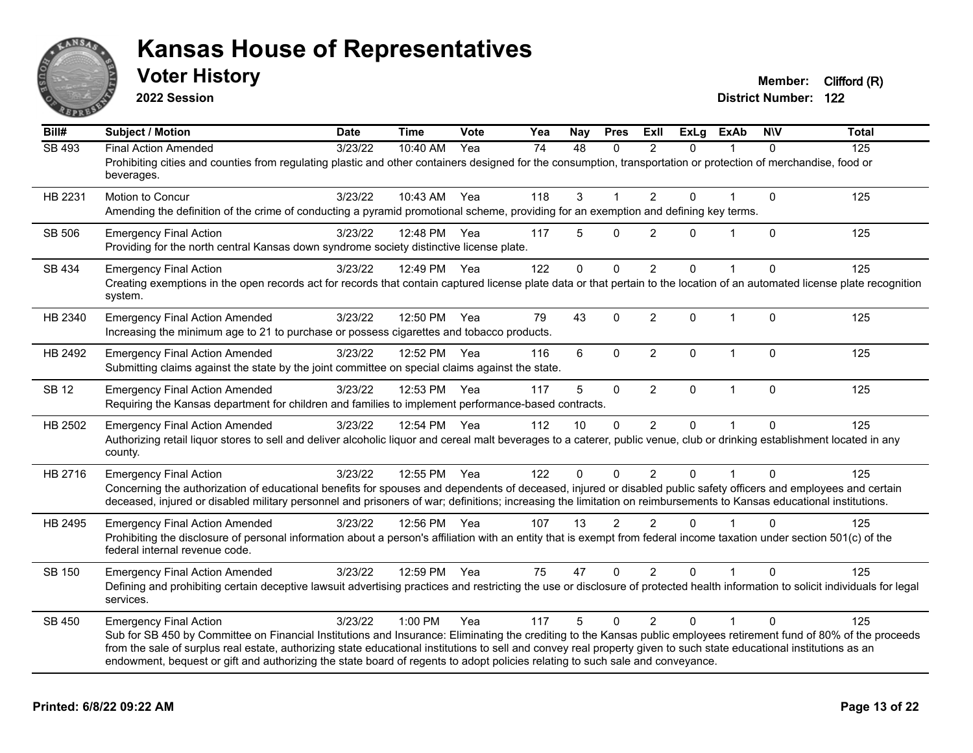

**2022 Session**

| Bill#         | <b>Subject / Motion</b>                                                                                                                                                                                                                                                                                                                                                                                                                                                                                        | <b>Date</b>      | <b>Time</b>  | <b>Vote</b> | Yea | Nay             | <b>Pres</b>  | ExII           | $\overline{Ex}$ Lg | <b>ExAb</b>    | <b>NIV</b>   | <b>Total</b> |
|---------------|----------------------------------------------------------------------------------------------------------------------------------------------------------------------------------------------------------------------------------------------------------------------------------------------------------------------------------------------------------------------------------------------------------------------------------------------------------------------------------------------------------------|------------------|--------------|-------------|-----|-----------------|--------------|----------------|--------------------|----------------|--------------|--------------|
| <b>SB 493</b> | <b>Final Action Amended</b><br>Prohibiting cities and counties from regulating plastic and other containers designed for the consumption, transportation or protection of merchandise, food or<br>beverages.                                                                                                                                                                                                                                                                                                   | $\sqrt{3}/23/22$ | 10:40 AM     | Yea         | 74  | $\overline{48}$ | $\Omega$     | $\mathfrak{p}$ | $\Omega$           |                | $\Omega$     | 125          |
| HB 2231       | Motion to Concur<br>Amending the definition of the crime of conducting a pyramid promotional scheme, providing for an exemption and defining key terms.                                                                                                                                                                                                                                                                                                                                                        | 3/23/22          | 10:43 AM     | Yea         | 118 | 3               | $\mathbf{1}$ | $\overline{2}$ | 0                  | $\overline{1}$ | $\mathbf{0}$ | 125          |
| SB 506        | <b>Emergency Final Action</b><br>Providing for the north central Kansas down syndrome society distinctive license plate.                                                                                                                                                                                                                                                                                                                                                                                       | 3/23/22          | 12:48 PM     | Yea         | 117 | 5               | $\mathbf{0}$ | $\overline{2}$ | 0                  | 1              | $\mathbf{0}$ | 125          |
| SB 434        | <b>Emergency Final Action</b><br>Creating exemptions in the open records act for records that contain captured license plate data or that pertain to the location of an automated license plate recognition<br>system.                                                                                                                                                                                                                                                                                         | 3/23/22          | 12:49 PM     | Yea         | 122 | $\mathbf{0}$    | $\mathbf 0$  | $\overline{2}$ | $\Omega$           |                | $\Omega$     | 125          |
| HB 2340       | <b>Emergency Final Action Amended</b><br>Increasing the minimum age to 21 to purchase or possess cigarettes and tobacco products.                                                                                                                                                                                                                                                                                                                                                                              | 3/23/22          | 12:50 PM     | Yea         | 79  | 43              | $\mathbf 0$  | $\overline{2}$ | $\Omega$           | $\mathbf{1}$   | $\Omega$     | 125          |
| HB 2492       | <b>Emergency Final Action Amended</b><br>Submitting claims against the state by the joint committee on special claims against the state.                                                                                                                                                                                                                                                                                                                                                                       | 3/23/22          | 12:52 PM     | Yea         | 116 | $\,6\,$         | $\pmb{0}$    | $\overline{2}$ | 0                  | $\mathbf{1}$   | $\mathbf{0}$ | 125          |
| <b>SB 12</b>  | <b>Emergency Final Action Amended</b><br>Requiring the Kansas department for children and families to implement performance-based contracts.                                                                                                                                                                                                                                                                                                                                                                   | 3/23/22          | 12:53 PM     | Yea         | 117 | 5               | $\mathbf 0$  | $\overline{2}$ | $\mathbf 0$        | $\mathbf{1}$   | $\Omega$     | 125          |
| HB 2502       | <b>Emergency Final Action Amended</b><br>Authorizing retail liquor stores to sell and deliver alcoholic liquor and cereal malt beverages to a caterer, public venue, club or drinking establishment located in any<br>county.                                                                                                                                                                                                                                                                                  | 3/23/22          | 12:54 PM Yea |             | 112 | 10              | $\Omega$     | $\overline{2}$ | $\Omega$           | $\mathbf 1$    | $\Omega$     | 125          |
| HB 2716       | <b>Emergency Final Action</b><br>Concerning the authorization of educational benefits for spouses and dependents of deceased, injured or disabled public safety officers and employees and certain<br>deceased, injured or disabled military personnel and prisoners of war; definitions; increasing the limitation on reimbursements to Kansas educational institutions.                                                                                                                                      | 3/23/22          | 12:55 PM     | Yea         | 122 | $\mathbf{0}$    | $\Omega$     | 2              | $\Omega$           |                | $\Omega$     | 125          |
| HB 2495       | <b>Emergency Final Action Amended</b><br>Prohibiting the disclosure of personal information about a person's affiliation with an entity that is exempt from federal income taxation under section 501(c) of the<br>federal internal revenue code.                                                                                                                                                                                                                                                              | 3/23/22          | 12:56 PM Yea |             | 107 | 13              | 2            | $\mathfrak{p}$ | $\Omega$           |                | $\Omega$     | 125          |
| SB 150        | <b>Emergency Final Action Amended</b><br>Defining and prohibiting certain deceptive lawsuit advertising practices and restricting the use or disclosure of protected health information to solicit individuals for legal<br>services.                                                                                                                                                                                                                                                                          | 3/23/22          | 12:59 PM Yea |             | 75  | 47              | $\mathbf{0}$ | $\overline{2}$ | $\Omega$           | 1              | $\Omega$     | 125          |
| SB 450        | <b>Emergency Final Action</b><br>Sub for SB 450 by Committee on Financial Institutions and Insurance: Eliminating the crediting to the Kansas public employees retirement fund of 80% of the proceeds<br>from the sale of surplus real estate, authorizing state educational institutions to sell and convey real property given to such state educational institutions as an<br>endowment, bequest or gift and authorizing the state board of regents to adopt policies relating to such sale and conveyance. | 3/23/22          | 1:00 PM      | Yea         | 117 | 5               | $\Omega$     | $\overline{2}$ | $\Omega$           | 1              | $\Omega$     | 125          |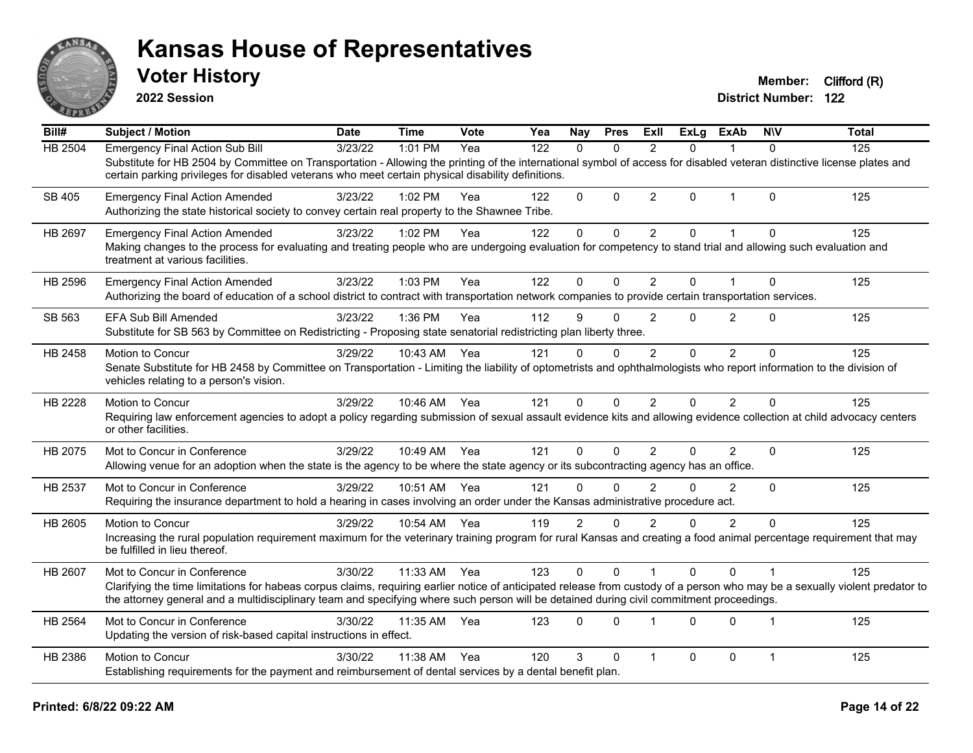

**2022 Session**

| Bill#          | <b>Subject / Motion</b>                                                                                                                                                                                                                                                                                                                                 | <b>Date</b> | <b>Time</b> | Vote | Yea | Nay            | <b>Pres</b>  | ExII           | ExLa         | <b>ExAb</b>    | <b>NIV</b>     | Total |
|----------------|---------------------------------------------------------------------------------------------------------------------------------------------------------------------------------------------------------------------------------------------------------------------------------------------------------------------------------------------------------|-------------|-------------|------|-----|----------------|--------------|----------------|--------------|----------------|----------------|-------|
| <b>HB 2504</b> | <b>Emergency Final Action Sub Bill</b><br>Substitute for HB 2504 by Committee on Transportation - Allowing the printing of the international symbol of access for disabled veteran distinctive license plates and<br>certain parking privileges for disabled veterans who meet certain physical disability definitions.                                 | 3/23/22     | 1:01 PM     | Yea  | 122 | $\Omega$       | $\mathbf{0}$ | $\mathfrak{p}$ | $\Omega$     |                | $\Omega$       | 125   |
| SB 405         | <b>Emergency Final Action Amended</b><br>Authorizing the state historical society to convey certain real property to the Shawnee Tribe.                                                                                                                                                                                                                 | 3/23/22     | 1:02 PM     | Yea  | 122 | $\mathbf{0}$   | $\mathbf 0$  | $\overline{c}$ | $\Omega$     | $\mathbf 1$    | $\mathbf{0}$   | 125   |
| HB 2697        | <b>Emergency Final Action Amended</b><br>Making changes to the process for evaluating and treating people who are undergoing evaluation for competency to stand trial and allowing such evaluation and<br>treatment at various facilities.                                                                                                              | 3/23/22     | $1:02$ PM   | Yea  | 122 | $\mathbf{0}$   | $\Omega$     | 2              | $\Omega$     |                | $\Omega$       | 125   |
| HB 2596        | <b>Emergency Final Action Amended</b><br>Authorizing the board of education of a school district to contract with transportation network companies to provide certain transportation services.                                                                                                                                                          | 3/23/22     | 1:03 PM     | Yea  | 122 | $\mathbf{0}$   | $\Omega$     | $\overline{2}$ | $\mathbf{0}$ | 1              | $\Omega$       | 125   |
| SB 563         | EFA Sub Bill Amended<br>Substitute for SB 563 by Committee on Redistricting - Proposing state senatorial redistricting plan liberty three.                                                                                                                                                                                                              | 3/23/22     | 1:36 PM     | Yea  | 112 | 9              | $\Omega$     | 2              | $\Omega$     | $\overline{2}$ | $\Omega$       | 125   |
| HB 2458        | Motion to Concur<br>Senate Substitute for HB 2458 by Committee on Transportation - Limiting the liability of optometrists and ophthalmologists who report information to the division of<br>vehicles relating to a person's vision.                                                                                                                     | 3/29/22     | 10:43 AM    | Yea  | 121 | 0              | $\Omega$     | $\overline{2}$ | $\Omega$     | $\overline{2}$ | $\Omega$       | 125   |
| <b>HB 2228</b> | Motion to Concur<br>Requiring law enforcement agencies to adopt a policy regarding submission of sexual assault evidence kits and allowing evidence collection at child advocacy centers<br>or other facilities.                                                                                                                                        | 3/29/22     | 10:46 AM    | Yea  | 121 | $\Omega$       | $\mathbf{0}$ | 2              | $\Omega$     | $\overline{2}$ | $\Omega$       | 125   |
| HB 2075        | Mot to Concur in Conference<br>Allowing venue for an adoption when the state is the agency to be where the state agency or its subcontracting agency has an office.                                                                                                                                                                                     | 3/29/22     | 10:49 AM    | Yea  | 121 | $\Omega$       | $\mathbf{0}$ | $\overline{2}$ | $\Omega$     | $\overline{2}$ | $\mathbf{0}$   | 125   |
| HB 2537        | Mot to Concur in Conference<br>Requiring the insurance department to hold a hearing in cases involving an order under the Kansas administrative procedure act.                                                                                                                                                                                          | 3/29/22     | 10:51 AM    | Yea  | 121 | $\Omega$       | $\Omega$     | 2              | $\Omega$     | $\overline{2}$ | $\Omega$       | 125   |
| HB 2605        | Motion to Concur<br>Increasing the rural population requirement maximum for the veterinary training program for rural Kansas and creating a food animal percentage requirement that may<br>be fulfilled in lieu thereof.                                                                                                                                | 3/29/22     | 10:54 AM    | Yea  | 119 | $\overline{2}$ | $\Omega$     | $\mathfrak{p}$ | O            | $\overline{2}$ | $\Omega$       | 125   |
| HB 2607        | Mot to Concur in Conference<br>Clarifying the time limitations for habeas corpus claims, requiring earlier notice of anticipated release from custody of a person who may be a sexually violent predator to<br>the attorney general and a multidisciplinary team and specifying where such person will be detained during civil commitment proceedings. | 3/30/22     | 11:33 AM    | Yea  | 123 | $\Omega$       | $\Omega$     | $\mathbf{1}$   | $\Omega$     | $\Omega$       | $\overline{1}$ | 125   |
| HB 2564        | Mot to Concur in Conference<br>Updating the version of risk-based capital instructions in effect.                                                                                                                                                                                                                                                       | 3/30/22     | 11:35 AM    | Yea  | 123 | $\Omega$       | $\Omega$     |                | $\Omega$     | $\Omega$       | $\overline{1}$ | 125   |
| HB 2386        | Motion to Concur<br>Establishing requirements for the payment and reimbursement of dental services by a dental benefit plan.                                                                                                                                                                                                                            | 3/30/22     | 11:38 AM    | Yea  | 120 | 3              | $\Omega$     | $\overline{1}$ | $\Omega$     | $\Omega$       | $\overline{1}$ | 125   |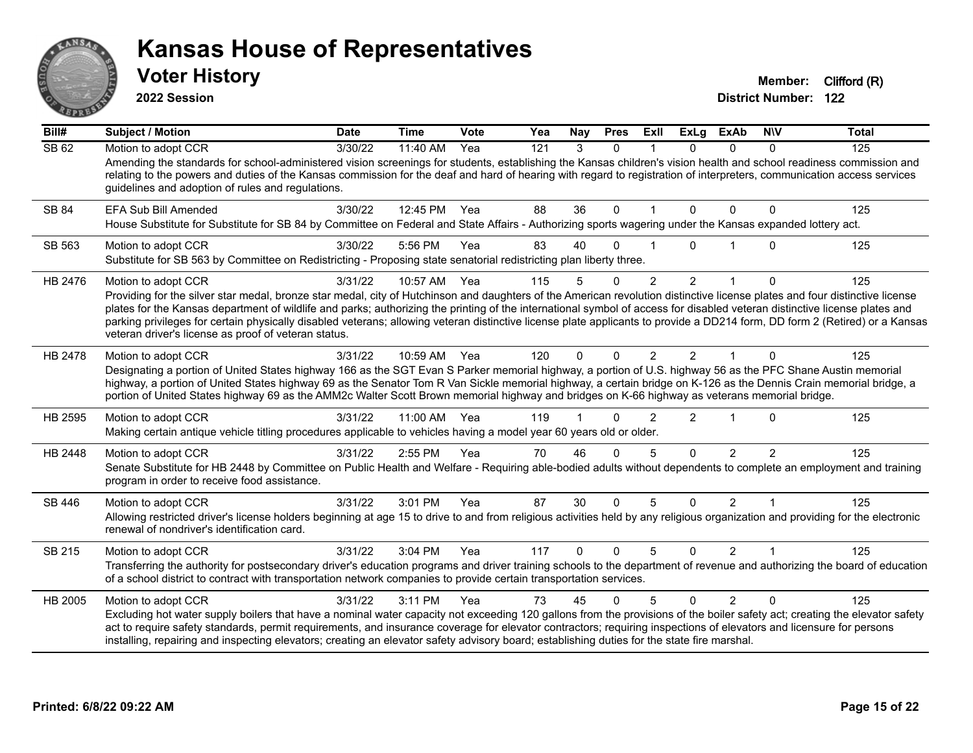

**2022 Session**

| Bill#                     | <b>Subject / Motion</b>                                                                                                                                                                                                                                                                                                                                                                                                                                                                                                                                                                          | Date             | <b>Time</b> | Vote | Yea | Nay      | <b>Pres</b>  | ExII           | <b>ExLg</b>    | <b>ExAb</b>    | <b>NIV</b>    | <b>Total</b> |
|---------------------------|--------------------------------------------------------------------------------------------------------------------------------------------------------------------------------------------------------------------------------------------------------------------------------------------------------------------------------------------------------------------------------------------------------------------------------------------------------------------------------------------------------------------------------------------------------------------------------------------------|------------------|-------------|------|-----|----------|--------------|----------------|----------------|----------------|---------------|--------------|
| $\overline{\text{SB }62}$ | Motion to adopt CCR                                                                                                                                                                                                                                                                                                                                                                                                                                                                                                                                                                              | $\sqrt{3}/30/22$ | 11:40 AM    | Yea  | 121 | 3        | $\Omega$     |                | $\Omega$       | $\Omega$       | 0             | 125          |
|                           | Amending the standards for school-administered vision screenings for students, establishing the Kansas children's vision health and school readiness commission and<br>relating to the powers and duties of the Kansas commission for the deaf and hard of hearing with regard to registration of interpreters, communication access services<br>guidelines and adoption of rules and regulations.                                                                                                                                                                                               |                  |             |      |     |          |              |                |                |                |               |              |
| SB 84                     | EFA Sub Bill Amended                                                                                                                                                                                                                                                                                                                                                                                                                                                                                                                                                                             | 3/30/22          | 12:45 PM    | Yea  | 88  | 36       | $\mathbf{0}$ | $\overline{1}$ | $\Omega$       | $\mathbf{0}$   | $\Omega$      | 125          |
|                           | House Substitute for Substitute for SB 84 by Committee on Federal and State Affairs - Authorizing sports wagering under the Kansas expanded lottery act.                                                                                                                                                                                                                                                                                                                                                                                                                                         |                  |             |      |     |          |              |                |                |                |               |              |
| SB 563                    | Motion to adopt CCR<br>Substitute for SB 563 by Committee on Redistricting - Proposing state senatorial redistricting plan liberty three.                                                                                                                                                                                                                                                                                                                                                                                                                                                        | 3/30/22          | 5:56 PM     | Yea  | 83  | 40       | $\Omega$     |                | $\Omega$       |                | $\Omega$      | 125          |
| HB 2476                   | Motion to adopt CCR                                                                                                                                                                                                                                                                                                                                                                                                                                                                                                                                                                              | 3/31/22          | 10:57 AM    | Yea  | 115 | 5        | $\mathbf{0}$ | $\overline{2}$ | $\overline{2}$ | $\mathbf{1}$   | $\Omega$      | 125          |
|                           | Providing for the silver star medal, bronze star medal, city of Hutchinson and daughters of the American revolution distinctive license plates and four distinctive license<br>plates for the Kansas department of wildlife and parks; authorizing the printing of the international symbol of access for disabled veteran distinctive license plates and<br>parking privileges for certain physically disabled veterans; allowing veteran distinctive license plate applicants to provide a DD214 form, DD form 2 (Retired) or a Kansas<br>veteran driver's license as proof of veteran status. |                  |             |      |     |          |              |                |                |                |               |              |
|                           |                                                                                                                                                                                                                                                                                                                                                                                                                                                                                                                                                                                                  |                  |             |      |     |          |              |                |                |                |               |              |
| HB 2478                   | Motion to adopt CCR<br>Designating a portion of United States highway 166 as the SGT Evan S Parker memorial highway, a portion of U.S. highway 56 as the PFC Shane Austin memorial                                                                                                                                                                                                                                                                                                                                                                                                               | 3/31/22          | 10:59 AM    | Yea  | 120 | 0        | $\Omega$     | $\mathfrak{p}$ | $\mathcal{P}$  |                | $\Omega$      | 125          |
|                           | highway, a portion of United States highway 69 as the Senator Tom R Van Sickle memorial highway, a certain bridge on K-126 as the Dennis Crain memorial bridge, a<br>portion of United States highway 69 as the AMM2c Walter Scott Brown memorial highway and bridges on K-66 highway as veterans memorial bridge.                                                                                                                                                                                                                                                                               |                  |             |      |     |          |              |                |                |                |               |              |
| HB 2595                   | Motion to adopt CCR                                                                                                                                                                                                                                                                                                                                                                                                                                                                                                                                                                              | 3/31/22          | 11:00 AM    | Yea  | 119 |          |              | $\mathcal{P}$  | $\mathcal{P}$  |                | $\Omega$      | 125          |
|                           | Making certain antique vehicle titling procedures applicable to vehicles having a model year 60 years old or older.                                                                                                                                                                                                                                                                                                                                                                                                                                                                              |                  |             |      |     |          |              |                |                |                |               |              |
| HB 2448                   | Motion to adopt CCR                                                                                                                                                                                                                                                                                                                                                                                                                                                                                                                                                                              | 3/31/22          | 2:55 PM     | Yea  | 70  | 46       | $\Omega$     | 5              | $\Omega$       | $\overline{2}$ | $\mathcal{P}$ | 125          |
|                           | Senate Substitute for HB 2448 by Committee on Public Health and Welfare - Requiring able-bodied adults without dependents to complete an employment and training<br>program in order to receive food assistance.                                                                                                                                                                                                                                                                                                                                                                                 |                  |             |      |     |          |              |                |                |                |               |              |
| SB 446                    | Motion to adopt CCR                                                                                                                                                                                                                                                                                                                                                                                                                                                                                                                                                                              | 3/31/22          | 3:01 PM     | Yea  | 87  | 30       | $\Omega$     | 5              | $\Omega$       | $\overline{2}$ |               | 125          |
|                           | Allowing restricted driver's license holders beginning at age 15 to drive to and from religious activities held by any religious organization and providing for the electronic<br>renewal of nondriver's identification card.                                                                                                                                                                                                                                                                                                                                                                    |                  |             |      |     |          |              |                |                |                |               |              |
| SB 215                    | Motion to adopt CCR                                                                                                                                                                                                                                                                                                                                                                                                                                                                                                                                                                              | 3/31/22          | 3:04 PM     | Yea  | 117 | $\Omega$ | $\Omega$     | 5              | $\Omega$       | 2              |               | 125          |
|                           | Transferring the authority for postsecondary driver's education programs and driver training schools to the department of revenue and authorizing the board of education<br>of a school district to contract with transportation network companies to provide certain transportation services.                                                                                                                                                                                                                                                                                                   |                  |             |      |     |          |              |                |                |                |               |              |
| HB 2005                   | Motion to adopt CCR                                                                                                                                                                                                                                                                                                                                                                                                                                                                                                                                                                              | 3/31/22          | 3:11 PM     | Yea  | 73  | 45       | ∩            | 5              | $\Omega$       | $\mathcal{P}$  | 0             | 125          |
|                           | Excluding hot water supply boilers that have a nominal water capacity not exceeding 120 gallons from the provisions of the boiler safety act; creating the elevator safety<br>act to require safety standards, permit requirements, and insurance coverage for elevator contractors; requiring inspections of elevators and licensure for persons<br>installing, repairing and inspecting elevators; creating an elevator safety advisory board; establishing duties for the state fire marshal.                                                                                                 |                  |             |      |     |          |              |                |                |                |               |              |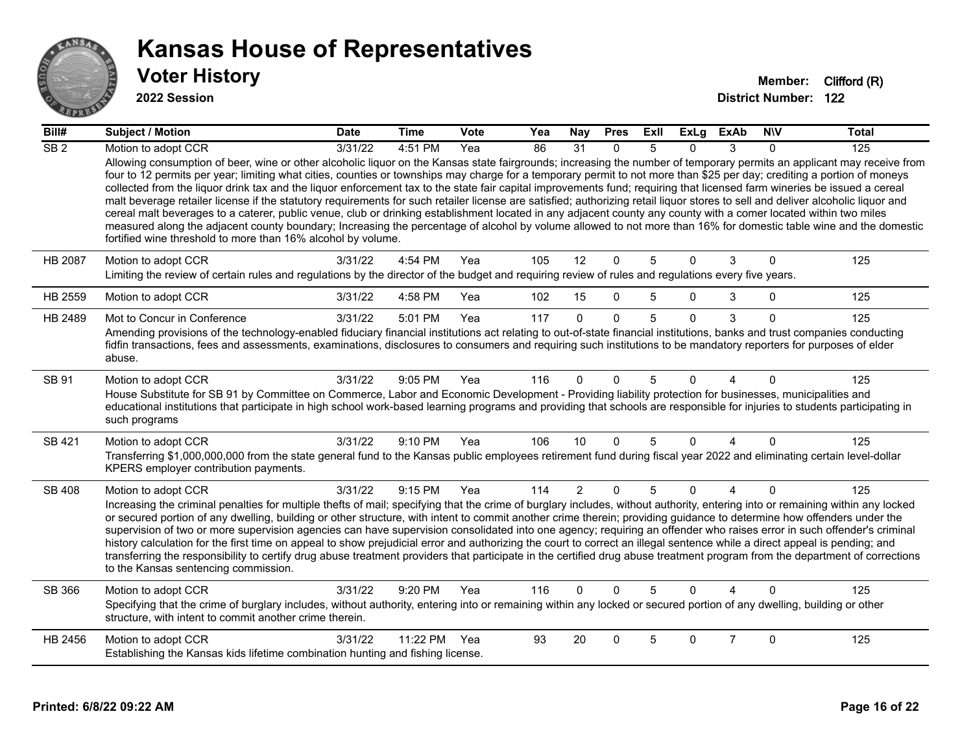

| Bill#           | <b>Subject / Motion</b>                                                                                                                                                                                                                                                                                                                                                                                                                                                                                                                                                                                                                                                                                                                                                                                                                                                                                                                                                                                                                                                                                                   | <b>Date</b>      | <b>Time</b> | <b>Vote</b> | Yea | <b>Nay</b>     | <b>Pres</b>  | ExII | <b>ExLg</b>    | <b>ExAb</b>    | <b>NIV</b>   | Total |
|-----------------|---------------------------------------------------------------------------------------------------------------------------------------------------------------------------------------------------------------------------------------------------------------------------------------------------------------------------------------------------------------------------------------------------------------------------------------------------------------------------------------------------------------------------------------------------------------------------------------------------------------------------------------------------------------------------------------------------------------------------------------------------------------------------------------------------------------------------------------------------------------------------------------------------------------------------------------------------------------------------------------------------------------------------------------------------------------------------------------------------------------------------|------------------|-------------|-------------|-----|----------------|--------------|------|----------------|----------------|--------------|-------|
| SB <sub>2</sub> | Motion to adopt CCR                                                                                                                                                                                                                                                                                                                                                                                                                                                                                                                                                                                                                                                                                                                                                                                                                                                                                                                                                                                                                                                                                                       | $\sqrt{3}/31/22$ | 4:51 PM     | Yea         | 86  | 31             | 0            | 5    | $\Omega$       | 3              | $\Omega$     | 125   |
|                 | Allowing consumption of beer, wine or other alcoholic liquor on the Kansas state fairgrounds; increasing the number of temporary permits an applicant may receive from<br>four to 12 permits per year; limiting what cities, counties or townships may charge for a temporary permit to not more than \$25 per day; crediting a portion of moneys<br>collected from the liquor drink tax and the liquor enforcement tax to the state fair capital improvements fund; requiring that licensed farm wineries be issued a cereal<br>malt beverage retailer license if the statutory requirements for such retailer license are satisfied; authorizing retail liquor stores to sell and deliver alcoholic liquor and<br>cereal malt beverages to a caterer, public venue, club or drinking establishment located in any adjacent county any county with a comer located within two miles<br>measured along the adjacent county boundary; Increasing the percentage of alcohol by volume allowed to not more than 16% for domestic table wine and the domestic<br>fortified wine threshold to more than 16% alcohol by volume. |                  |             |             |     |                |              |      |                |                |              |       |
| <b>HB 2087</b>  | Motion to adopt CCR                                                                                                                                                                                                                                                                                                                                                                                                                                                                                                                                                                                                                                                                                                                                                                                                                                                                                                                                                                                                                                                                                                       | 3/31/22          | 4:54 PM     | Yea         | 105 | 12             | $\mathbf 0$  | 5    | $\Omega$       | 3              | $\mathbf 0$  | 125   |
|                 | Limiting the review of certain rules and regulations by the director of the budget and requiring review of rules and regulations every five years.                                                                                                                                                                                                                                                                                                                                                                                                                                                                                                                                                                                                                                                                                                                                                                                                                                                                                                                                                                        |                  |             |             |     |                |              |      |                |                |              |       |
| HB 2559         | Motion to adopt CCR                                                                                                                                                                                                                                                                                                                                                                                                                                                                                                                                                                                                                                                                                                                                                                                                                                                                                                                                                                                                                                                                                                       | 3/31/22          | 4:58 PM     | Yea         | 102 | 15             | $\mathbf{0}$ | 5    | 0              | 3              | $\mathbf 0$  | 125   |
| HB 2489         | Mot to Concur in Conference                                                                                                                                                                                                                                                                                                                                                                                                                                                                                                                                                                                                                                                                                                                                                                                                                                                                                                                                                                                                                                                                                               | 3/31/22          | 5:01 PM     | Yea         | 117 | $\mathbf{0}$   | $\mathbf{0}$ | 5    | $\Omega$       | 3              | $\Omega$     | 125   |
|                 | Amending provisions of the technology-enabled fiduciary financial institutions act relating to out-of-state financial institutions, banks and trust companies conducting<br>fidfin transactions, fees and assessments, examinations, disclosures to consumers and requiring such institutions to be mandatory reporters for purposes of elder<br>abuse.                                                                                                                                                                                                                                                                                                                                                                                                                                                                                                                                                                                                                                                                                                                                                                   |                  |             |             |     |                |              |      |                |                |              |       |
| SB 91           | Motion to adopt CCR<br>House Substitute for SB 91 by Committee on Commerce, Labor and Economic Development - Providing liability protection for businesses, municipalities and<br>educational institutions that participate in high school work-based learning programs and providing that schools are responsible for injuries to students participating in<br>such programs                                                                                                                                                                                                                                                                                                                                                                                                                                                                                                                                                                                                                                                                                                                                             | 3/31/22          | 9:05 PM     | Yea         | 116 | $\Omega$       | $\Omega$     | 5    | 0              | Δ              | $\Omega$     | 125   |
| SB 421          | Motion to adopt CCR                                                                                                                                                                                                                                                                                                                                                                                                                                                                                                                                                                                                                                                                                                                                                                                                                                                                                                                                                                                                                                                                                                       | 3/31/22          | $9:10$ PM   | Yea         | 106 | 10             | $\mathbf{0}$ | 5    | $\Omega$       | 4              | $\Omega$     | 125   |
|                 | Transferring \$1,000,000,000 from the state general fund to the Kansas public employees retirement fund during fiscal year 2022 and eliminating certain level-dollar<br>KPERS employer contribution payments.                                                                                                                                                                                                                                                                                                                                                                                                                                                                                                                                                                                                                                                                                                                                                                                                                                                                                                             |                  |             |             |     |                |              |      |                |                |              |       |
| SB 408          | Motion to adopt CCR                                                                                                                                                                                                                                                                                                                                                                                                                                                                                                                                                                                                                                                                                                                                                                                                                                                                                                                                                                                                                                                                                                       | 3/31/22          | 9:15 PM     | Yea         | 114 | $\overline{2}$ | $\mathbf{0}$ | 5    | $\overline{0}$ | 4              | $\mathbf{0}$ | 125   |
|                 | Increasing the criminal penalties for multiple thefts of mail; specifying that the crime of burglary includes, without authority, entering into or remaining within any locked<br>or secured portion of any dwelling, building or other structure, with intent to commit another crime therein; providing guidance to determine how offenders under the<br>supervision of two or more supervision agencies can have supervision consolidated into one agency; requiring an offender who raises error in such offender's criminal<br>history calculation for the first time on appeal to show prejudicial error and authorizing the court to correct an illegal sentence while a direct appeal is pending; and<br>transferring the responsibility to certify drug abuse treatment providers that participate in the certified drug abuse treatment program from the department of corrections<br>to the Kansas sentencing commission.                                                                                                                                                                                      |                  |             |             |     |                |              |      |                |                |              |       |
| SB 366          | Motion to adopt CCR                                                                                                                                                                                                                                                                                                                                                                                                                                                                                                                                                                                                                                                                                                                                                                                                                                                                                                                                                                                                                                                                                                       | 3/31/22          | $9:20$ PM   | Yea         | 116 | $\Omega$       | $\Omega$     | 5    | $\Omega$       |                | $\Omega$     | 125   |
|                 | Specifying that the crime of burglary includes, without authority, entering into or remaining within any locked or secured portion of any dwelling, building or other<br>structure, with intent to commit another crime therein.                                                                                                                                                                                                                                                                                                                                                                                                                                                                                                                                                                                                                                                                                                                                                                                                                                                                                          |                  |             |             |     |                |              |      |                |                |              |       |
| HB 2456         | Motion to adopt CCR                                                                                                                                                                                                                                                                                                                                                                                                                                                                                                                                                                                                                                                                                                                                                                                                                                                                                                                                                                                                                                                                                                       | 3/31/22          | 11:22 PM    | Yea         | 93  | 20             | $\Omega$     | 5    | 0              | $\overline{7}$ | $\mathbf{0}$ | 125   |
|                 | Establishing the Kansas kids lifetime combination hunting and fishing license.                                                                                                                                                                                                                                                                                                                                                                                                                                                                                                                                                                                                                                                                                                                                                                                                                                                                                                                                                                                                                                            |                  |             |             |     |                |              |      |                |                |              |       |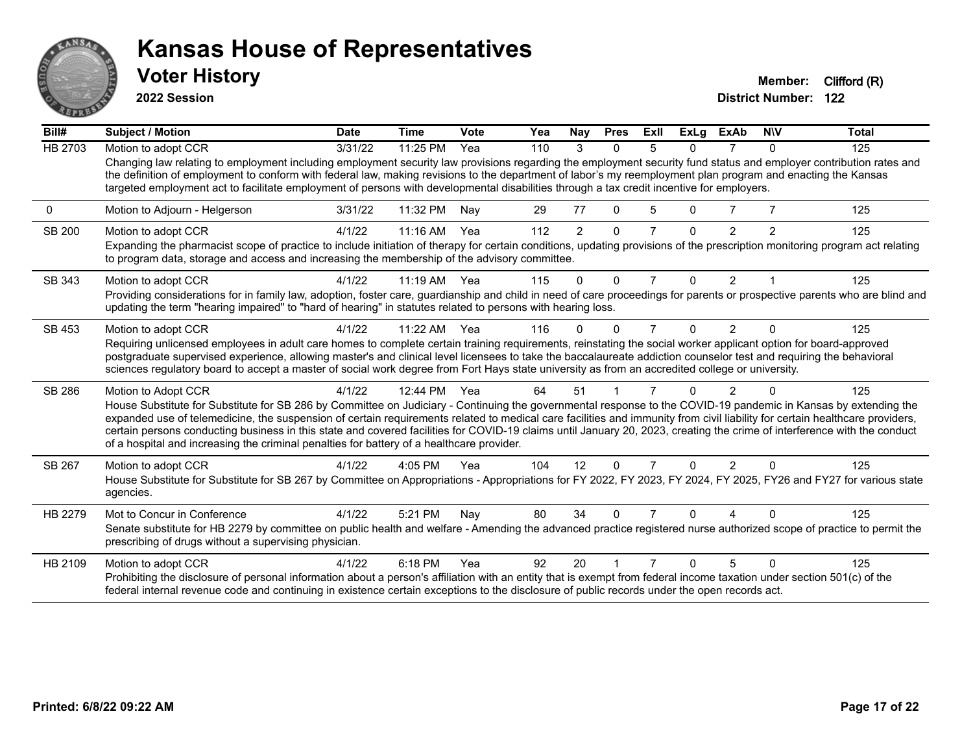

**2022 Session**

| Bill#          | Subject / Motion                                                                                                                                                                                                                                                                                                                                                                                                                                                                                                                                                                                                        | <b>Date</b> | <b>Time</b> | Vote | Yea | Nay            | <b>Pres</b>  | <b>ExII</b> | <b>ExLg</b> | <b>ExAb</b>    | <b>NIV</b>   | Total |
|----------------|-------------------------------------------------------------------------------------------------------------------------------------------------------------------------------------------------------------------------------------------------------------------------------------------------------------------------------------------------------------------------------------------------------------------------------------------------------------------------------------------------------------------------------------------------------------------------------------------------------------------------|-------------|-------------|------|-----|----------------|--------------|-------------|-------------|----------------|--------------|-------|
| <b>HB 2703</b> | Motion to adopt CCR                                                                                                                                                                                                                                                                                                                                                                                                                                                                                                                                                                                                     | 3/31/22     | 11:25 PM    | Yea  | 110 | 3              | $\Omega$     | 5           | 0           | 7              | $\mathbf{0}$ | 125   |
|                | Changing law relating to employment including employment security law provisions regarding the employment security fund status and employer contribution rates and<br>the definition of employment to conform with federal law, making revisions to the department of labor's my reemployment plan program and enacting the Kansas<br>targeted employment act to facilitate employment of persons with developmental disabilities through a tax credit incentive for employers.                                                                                                                                         |             |             |      |     |                |              |             |             |                |              |       |
| 0              | Motion to Adjourn - Helgerson                                                                                                                                                                                                                                                                                                                                                                                                                                                                                                                                                                                           | 3/31/22     | 11:32 PM    | Nay  | 29  | 77             | 0            | 5           | 0           |                |              | 125   |
| <b>SB 200</b>  | Motion to adopt CCR<br>Expanding the pharmacist scope of practice to include initiation of therapy for certain conditions, updating provisions of the prescription monitoring program act relating<br>to program data, storage and access and increasing the membership of the advisory committee.                                                                                                                                                                                                                                                                                                                      | 4/1/22      | $11:16$ AM  | Yea  | 112 | $\overline{2}$ | $\Omega$     |             | 0           | $\overline{2}$ | 2            | 125   |
| SB 343         | Motion to adopt CCR                                                                                                                                                                                                                                                                                                                                                                                                                                                                                                                                                                                                     | 4/1/22      | $11:19$ AM  | Yea  | 115 | 0              | $\Omega$     | 7           | $\Omega$    | $\overline{2}$ |              | 125   |
|                | Providing considerations for in family law, adoption, foster care, guardianship and child in need of care proceedings for parents or prospective parents who are blind and<br>updating the term "hearing impaired" to "hard of hearing" in statutes related to persons with hearing loss.                                                                                                                                                                                                                                                                                                                               |             |             |      |     |                |              |             |             |                |              |       |
| SB 453         | Motion to adopt CCR                                                                                                                                                                                                                                                                                                                                                                                                                                                                                                                                                                                                     | 4/1/22      | $11:22$ AM  | Yea  | 116 | O              | <sup>0</sup> | 7           | 0           | $\mathcal{P}$  | ŋ            | 125   |
|                | Requiring unlicensed employees in adult care homes to complete certain training requirements, reinstating the social worker applicant option for board-approved<br>postgraduate supervised experience, allowing master's and clinical level licensees to take the baccalaureate addiction counselor test and requiring the behavioral<br>sciences regulatory board to accept a master of social work degree from Fort Hays state university as from an accredited college or university.                                                                                                                                |             |             |      |     |                |              |             |             |                |              |       |
| SB 286         | Motion to Adopt CCR                                                                                                                                                                                                                                                                                                                                                                                                                                                                                                                                                                                                     | 4/1/22      | 12:44 PM    | Yea  | 64  | 51             |              |             |             |                |              | 125   |
|                | House Substitute for Substitute for SB 286 by Committee on Judiciary - Continuing the governmental response to the COVID-19 pandemic in Kansas by extending the<br>expanded use of telemedicine, the suspension of certain requirements related to medical care facilities and immunity from civil liability for certain healthcare providers,<br>certain persons conducting business in this state and covered facilities for COVID-19 claims until January 20, 2023, creating the crime of interference with the conduct<br>of a hospital and increasing the criminal penalties for battery of a healthcare provider. |             |             |      |     |                |              |             |             |                |              |       |
| SB 267         | Motion to adopt CCR                                                                                                                                                                                                                                                                                                                                                                                                                                                                                                                                                                                                     | 4/1/22      | 4:05 PM     | Yea  | 104 | 12             | $\Omega$     | 7           | 0           | $\overline{2}$ | $\Omega$     | 125   |
|                | House Substitute for Substitute for SB 267 by Committee on Appropriations - Appropriations for FY 2022, FY 2023, FY 2024, FY 2025, FY26 and FY27 for various state<br>agencies.                                                                                                                                                                                                                                                                                                                                                                                                                                         |             |             |      |     |                |              |             |             |                |              |       |
| HB 2279        | Mot to Concur in Conference<br>Senate substitute for HB 2279 by committee on public health and welfare - Amending the advanced practice registered nurse authorized scope of practice to permit the<br>prescribing of drugs without a supervising physician.                                                                                                                                                                                                                                                                                                                                                            | 4/1/22      | 5:21 PM     | Nay  | 80  | 34             | $\Omega$     |             | 0           |                |              | 125   |
| HB 2109        | Motion to adopt CCR<br>Prohibiting the disclosure of personal information about a person's affiliation with an entity that is exempt from federal income taxation under section 501(c) of the<br>federal internal revenue code and continuing in existence certain exceptions to the disclosure of public records under the open records act.                                                                                                                                                                                                                                                                           | 4/1/22      | 6:18 PM     | Yea  | 92  | 20             |              |             | n           |                |              | 125   |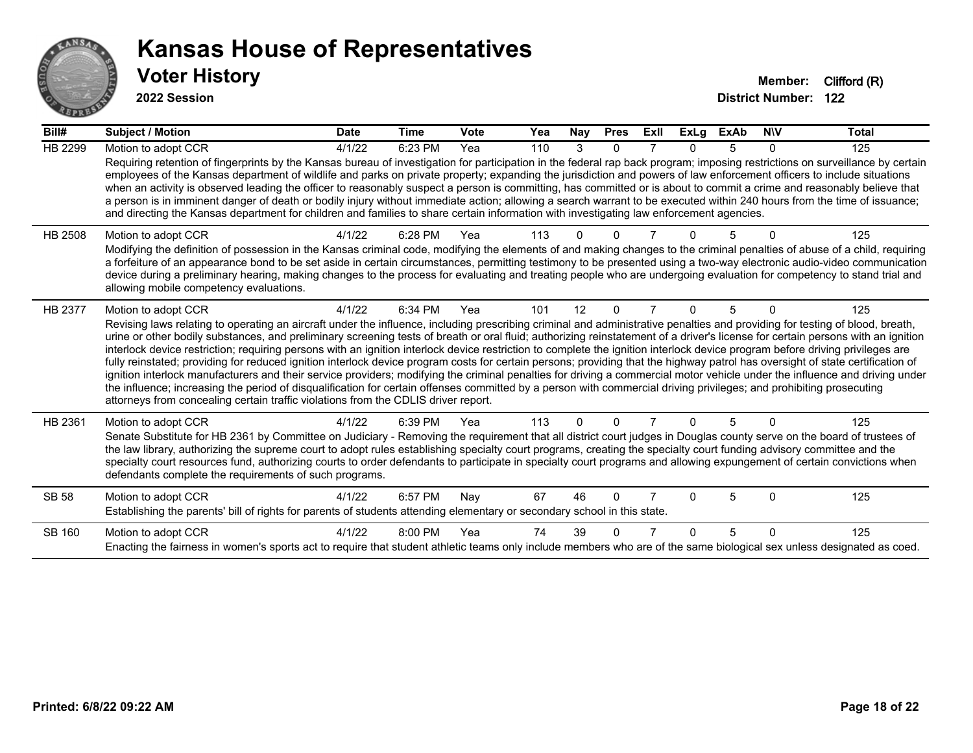

| Bill#          | Subject / Motion                                                                                                                                                                                                                                                                                                                                                                                                                                                                                                                                                                                                                                                                                                                                                                                                                                                                                                                                                                                                                                                                                                                                                                                      | <b>Date</b> | <b>Time</b> | Vote | Yea | Nay      | <b>Pres</b> | ExII | <b>ExLg</b> | <b>ExAb</b> | <b>NIV</b> | Total |
|----------------|-------------------------------------------------------------------------------------------------------------------------------------------------------------------------------------------------------------------------------------------------------------------------------------------------------------------------------------------------------------------------------------------------------------------------------------------------------------------------------------------------------------------------------------------------------------------------------------------------------------------------------------------------------------------------------------------------------------------------------------------------------------------------------------------------------------------------------------------------------------------------------------------------------------------------------------------------------------------------------------------------------------------------------------------------------------------------------------------------------------------------------------------------------------------------------------------------------|-------------|-------------|------|-----|----------|-------------|------|-------------|-------------|------------|-------|
| HB 2299        | Motion to adopt CCR                                                                                                                                                                                                                                                                                                                                                                                                                                                                                                                                                                                                                                                                                                                                                                                                                                                                                                                                                                                                                                                                                                                                                                                   | 4/1/22      | 6:23 PM     | Yea  | 110 | 3        | $\Omega$    |      | n           |             | 0          | 125   |
|                | Requiring retention of fingerprints by the Kansas bureau of investigation for participation in the federal rap back program; imposing restrictions on surveillance by certain<br>employees of the Kansas department of wildlife and parks on private property; expanding the jurisdiction and powers of law enforcement officers to include situations<br>when an activity is observed leading the officer to reasonably suspect a person is committing, has committed or is about to commit a crime and reasonably believe that<br>a person is in imminent danger of death or bodily injury without immediate action; allowing a search warrant to be executed within 240 hours from the time of issuance;<br>and directing the Kansas department for children and families to share certain information with investigating law enforcement agencies.                                                                                                                                                                                                                                                                                                                                                |             |             |      |     |          |             |      |             |             |            |       |
| <b>HB 2508</b> | Motion to adopt CCR<br>Modifying the definition of possession in the Kansas criminal code, modifying the elements of and making changes to the criminal penalties of abuse of a child, requiring<br>a forfeiture of an appearance bond to be set aside in certain circumstances, permitting testimony to be presented using a two-way electronic audio-video communication<br>device during a preliminary hearing, making changes to the process for evaluating and treating people who are undergoing evaluation for competency to stand trial and<br>allowing mobile competency evaluations.                                                                                                                                                                                                                                                                                                                                                                                                                                                                                                                                                                                                        | 4/1/22      | 6:28 PM     | Yea  | 113 |          |             |      |             |             |            | 125   |
| HB 2377        | Motion to adopt CCR<br>Revising laws relating to operating an aircraft under the influence, including prescribing criminal and administrative penalties and providing for testing of blood, breath,<br>urine or other bodily substances, and preliminary screening tests of breath or oral fluid; authorizing reinstatement of a driver's license for certain persons with an ignition<br>interlock device restriction; requiring persons with an ignition interlock device restriction to complete the ignition interlock device program before driving privileges are<br>fully reinstated; providing for reduced ignition interlock device program costs for certain persons; providing that the highway patrol has oversight of state certification of<br>ignition interlock manufacturers and their service providers; modifying the criminal penalties for driving a commercial motor vehicle under the influence and driving under<br>the influence; increasing the period of disqualification for certain offenses committed by a person with commercial driving privileges; and prohibiting prosecuting<br>attorneys from concealing certain traffic violations from the CDLIS driver report. | 4/1/22      | 6:34 PM     | Yea  | 101 | 12       | $\Omega$    |      | 0           | 5           | $\Omega$   | 125   |
| HB 2361        | Motion to adopt CCR<br>Senate Substitute for HB 2361 by Committee on Judiciary - Removing the requirement that all district court judges in Douglas county serve on the board of trustees of<br>the law library, authorizing the supreme court to adopt rules establishing specialty court programs, creating the specialty court funding advisory committee and the<br>specialty court resources fund, authorizing courts to order defendants to participate in specialty court programs and allowing expungement of certain convictions when<br>defendants complete the requirements of such programs.                                                                                                                                                                                                                                                                                                                                                                                                                                                                                                                                                                                              | 4/1/22      | 6:39 PM     | Yea  | 113 | $\Omega$ | $\Omega$    |      | 0           | 5           | $\Omega$   | 125   |
| SB 58          | Motion to adopt CCR<br>Establishing the parents' bill of rights for parents of students attending elementary or secondary school in this state.                                                                                                                                                                                                                                                                                                                                                                                                                                                                                                                                                                                                                                                                                                                                                                                                                                                                                                                                                                                                                                                       | 4/1/22      | 6:57 PM     | Nay  | 67  | 46       | $\Omega$    |      | n           | 5           | $\Omega$   | 125   |
| SB 160         | Motion to adopt CCR<br>Enacting the fairness in women's sports act to require that student athletic teams only include members who are of the same biological sex unless designated as coed.                                                                                                                                                                                                                                                                                                                                                                                                                                                                                                                                                                                                                                                                                                                                                                                                                                                                                                                                                                                                          | 4/1/22      | 8:00 PM     | Yea  | 74  | 39       |             |      | n           | 5           | $\Omega$   | 125   |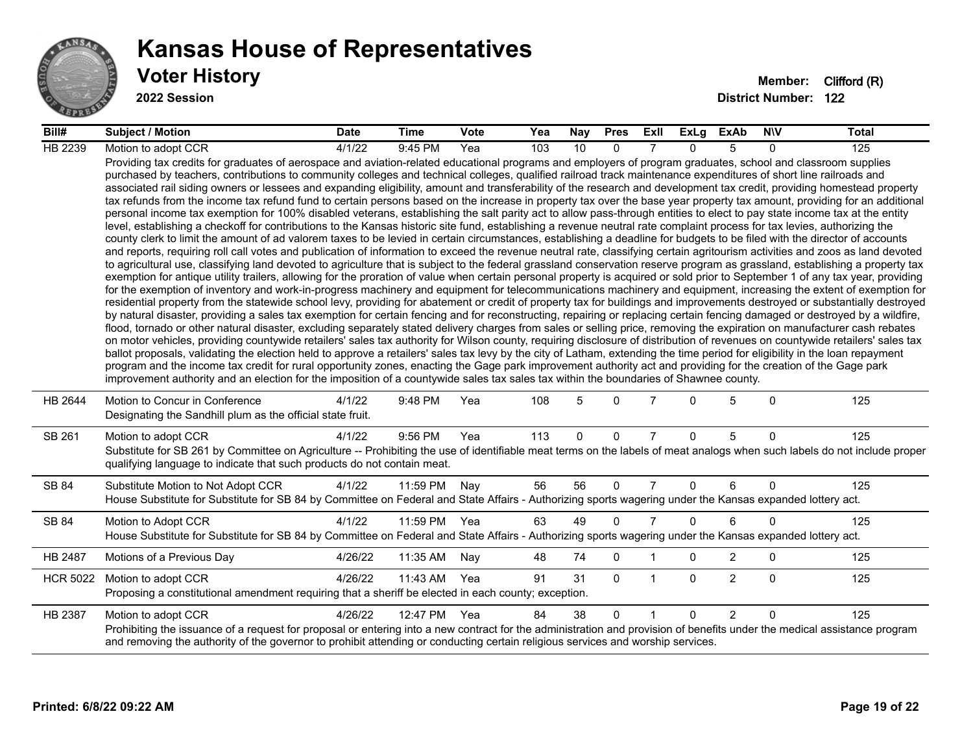

| Bill#           | <b>Subject / Motion</b>                                                                                                                                                                                                                                                                                                                                                                                                                                                                                                                                                                                                                                                                                                                                                                                                                                                                                                                                                                                                                                                                                                                                                                                                                                                                                                                                                                                                                                                                                                                                                                                                                                                                                                                                                                                                                                                                                                                                                                                                                                                                                                                                                                                                                                                                                                                                                                                                                                                                                                                                                                                                                                                                                                                                                                                                                                                                                                                                                                                                                                                                                                                                                     | <b>Date</b> | Time         | <b>Vote</b> | Yea | Nay      | <b>Pres</b>  | ExII           | ExLg         | <b>ExAb</b>    | <b>NIV</b>   | <b>Total</b> |
|-----------------|-----------------------------------------------------------------------------------------------------------------------------------------------------------------------------------------------------------------------------------------------------------------------------------------------------------------------------------------------------------------------------------------------------------------------------------------------------------------------------------------------------------------------------------------------------------------------------------------------------------------------------------------------------------------------------------------------------------------------------------------------------------------------------------------------------------------------------------------------------------------------------------------------------------------------------------------------------------------------------------------------------------------------------------------------------------------------------------------------------------------------------------------------------------------------------------------------------------------------------------------------------------------------------------------------------------------------------------------------------------------------------------------------------------------------------------------------------------------------------------------------------------------------------------------------------------------------------------------------------------------------------------------------------------------------------------------------------------------------------------------------------------------------------------------------------------------------------------------------------------------------------------------------------------------------------------------------------------------------------------------------------------------------------------------------------------------------------------------------------------------------------------------------------------------------------------------------------------------------------------------------------------------------------------------------------------------------------------------------------------------------------------------------------------------------------------------------------------------------------------------------------------------------------------------------------------------------------------------------------------------------------------------------------------------------------------------------------------------------------------------------------------------------------------------------------------------------------------------------------------------------------------------------------------------------------------------------------------------------------------------------------------------------------------------------------------------------------------------------------------------------------------------------------------------------------|-------------|--------------|-------------|-----|----------|--------------|----------------|--------------|----------------|--------------|--------------|
| <b>HB 2239</b>  | Motion to adopt CCR                                                                                                                                                                                                                                                                                                                                                                                                                                                                                                                                                                                                                                                                                                                                                                                                                                                                                                                                                                                                                                                                                                                                                                                                                                                                                                                                                                                                                                                                                                                                                                                                                                                                                                                                                                                                                                                                                                                                                                                                                                                                                                                                                                                                                                                                                                                                                                                                                                                                                                                                                                                                                                                                                                                                                                                                                                                                                                                                                                                                                                                                                                                                                         | 4/1/22      | 9:45 PM      | Yea         | 103 | 10       | $\Omega$     |                | <sup>n</sup> | 5              | 0            | 125          |
|                 | Providing tax credits for graduates of aerospace and aviation-related educational programs and employers of program graduates, school and classroom supplies<br>purchased by teachers, contributions to community colleges and technical colleges, qualified railroad track maintenance expenditures of short line railroads and<br>associated rail siding owners or lessees and expanding eligibility, amount and transferability of the research and development tax credit, providing homestead property<br>tax refunds from the income tax refund fund to certain persons based on the increase in property tax over the base year property tax amount, providing for an additional<br>personal income tax exemption for 100% disabled veterans, establishing the salt parity act to allow pass-through entities to elect to pay state income tax at the entity<br>level, establishing a checkoff for contributions to the Kansas historic site fund, establishing a revenue neutral rate complaint process for tax levies, authorizing the<br>county clerk to limit the amount of ad valorem taxes to be levied in certain circumstances, establishing a deadline for budgets to be filed with the director of accounts<br>and reports, requiring roll call votes and publication of information to exceed the revenue neutral rate, classifying certain agritourism activities and zoos as land devoted<br>to agricultural use, classifying land devoted to agriculture that is subject to the federal grassland conservation reserve program as grassland, establishing a property tax<br>exemption for antique utility trailers, allowing for the proration of value when certain personal property is acquired or sold prior to September 1 of any tax year, providing<br>for the exemption of inventory and work-in-progress machinery and equipment for telecommunications machinery and equipment, increasing the extent of exemption for<br>residential property from the statewide school levy, providing for abatement or credit of property tax for buildings and improvements destroyed or substantially destroyed<br>by natural disaster, providing a sales tax exemption for certain fencing and for reconstructing, repairing or replacing certain fencing damaged or destroyed by a wildfire,<br>flood, tornado or other natural disaster, excluding separately stated delivery charges from sales or selling price, removing the expiration on manufacturer cash rebates<br>on motor vehicles, providing countywide retailers' sales tax authority for Wilson county, requiring disclosure of distribution of revenues on countywide retailers' sales tax<br>ballot proposals, validating the election held to approve a retailers' sales tax levy by the city of Latham, extending the time period for eligibility in the loan repayment<br>program and the income tax credit for rural opportunity zones, enacting the Gage park improvement authority act and providing for the creation of the Gage park<br>improvement authority and an election for the imposition of a countywide sales tax sales tax within the boundaries of Shawnee county. |             |              |             |     |          |              |                |              |                |              |              |
| HB 2644         | Motion to Concur in Conference<br>Designating the Sandhill plum as the official state fruit.                                                                                                                                                                                                                                                                                                                                                                                                                                                                                                                                                                                                                                                                                                                                                                                                                                                                                                                                                                                                                                                                                                                                                                                                                                                                                                                                                                                                                                                                                                                                                                                                                                                                                                                                                                                                                                                                                                                                                                                                                                                                                                                                                                                                                                                                                                                                                                                                                                                                                                                                                                                                                                                                                                                                                                                                                                                                                                                                                                                                                                                                                | 4/1/22      | 9:48 PM      | Yea         | 108 | 5        | $\Omega$     | 7              | $\Omega$     | 5              | $\mathbf{0}$ | 125          |
| SB 261          | Motion to adopt CCR<br>Substitute for SB 261 by Committee on Agriculture -- Prohibiting the use of identifiable meat terms on the labels of meat analogs when such labels do not include proper<br>qualifying language to indicate that such products do not contain meat.                                                                                                                                                                                                                                                                                                                                                                                                                                                                                                                                                                                                                                                                                                                                                                                                                                                                                                                                                                                                                                                                                                                                                                                                                                                                                                                                                                                                                                                                                                                                                                                                                                                                                                                                                                                                                                                                                                                                                                                                                                                                                                                                                                                                                                                                                                                                                                                                                                                                                                                                                                                                                                                                                                                                                                                                                                                                                                  | 4/1/22      | 9:56 PM      | Yea         | 113 | $\Omega$ | $\Omega$     | $\overline{7}$ | $\Omega$     | 5              | $\mathbf{0}$ | 125          |
| SB 84           | Substitute Motion to Not Adopt CCR<br>House Substitute for Substitute for SB 84 by Committee on Federal and State Affairs - Authorizing sports wagering under the Kansas expanded lottery act.                                                                                                                                                                                                                                                                                                                                                                                                                                                                                                                                                                                                                                                                                                                                                                                                                                                                                                                                                                                                                                                                                                                                                                                                                                                                                                                                                                                                                                                                                                                                                                                                                                                                                                                                                                                                                                                                                                                                                                                                                                                                                                                                                                                                                                                                                                                                                                                                                                                                                                                                                                                                                                                                                                                                                                                                                                                                                                                                                                              | 4/1/22      | 11:59 PM     | Nay         | 56  | 56       | $\mathbf{0}$ | $\overline{7}$ | $\Omega$     | 6              | $\Omega$     | 125          |
| SB 84           | Motion to Adopt CCR                                                                                                                                                                                                                                                                                                                                                                                                                                                                                                                                                                                                                                                                                                                                                                                                                                                                                                                                                                                                                                                                                                                                                                                                                                                                                                                                                                                                                                                                                                                                                                                                                                                                                                                                                                                                                                                                                                                                                                                                                                                                                                                                                                                                                                                                                                                                                                                                                                                                                                                                                                                                                                                                                                                                                                                                                                                                                                                                                                                                                                                                                                                                                         | 4/1/22      | 11:59 PM Yea |             | 63  | 49       | $\Omega$     | $\overline{7}$ | $\Omega$     | 6              | $\Omega$     | 125          |
|                 | House Substitute for Substitute for SB 84 by Committee on Federal and State Affairs - Authorizing sports wagering under the Kansas expanded lottery act.                                                                                                                                                                                                                                                                                                                                                                                                                                                                                                                                                                                                                                                                                                                                                                                                                                                                                                                                                                                                                                                                                                                                                                                                                                                                                                                                                                                                                                                                                                                                                                                                                                                                                                                                                                                                                                                                                                                                                                                                                                                                                                                                                                                                                                                                                                                                                                                                                                                                                                                                                                                                                                                                                                                                                                                                                                                                                                                                                                                                                    |             |              |             |     |          |              |                |              |                |              |              |
| HB 2487         | Motions of a Previous Day                                                                                                                                                                                                                                                                                                                                                                                                                                                                                                                                                                                                                                                                                                                                                                                                                                                                                                                                                                                                                                                                                                                                                                                                                                                                                                                                                                                                                                                                                                                                                                                                                                                                                                                                                                                                                                                                                                                                                                                                                                                                                                                                                                                                                                                                                                                                                                                                                                                                                                                                                                                                                                                                                                                                                                                                                                                                                                                                                                                                                                                                                                                                                   | 4/26/22     | 11:35 AM     | Nay         | 48  | 74       | $\mathbf 0$  |                | 0            | 2              | $\mathbf 0$  | 125          |
| <b>HCR 5022</b> | Motion to adopt CCR<br>Proposing a constitutional amendment requiring that a sheriff be elected in each county; exception.                                                                                                                                                                                                                                                                                                                                                                                                                                                                                                                                                                                                                                                                                                                                                                                                                                                                                                                                                                                                                                                                                                                                                                                                                                                                                                                                                                                                                                                                                                                                                                                                                                                                                                                                                                                                                                                                                                                                                                                                                                                                                                                                                                                                                                                                                                                                                                                                                                                                                                                                                                                                                                                                                                                                                                                                                                                                                                                                                                                                                                                  | 4/26/22     | 11:43 AM     | Yea         | 91  | 31       | $\Omega$     | $\overline{1}$ | $\Omega$     | $\overline{2}$ | $\mathbf{0}$ | 125          |
| HB 2387         | Motion to adopt CCR<br>Prohibiting the issuance of a request for proposal or entering into a new contract for the administration and provision of benefits under the medical assistance program<br>and removing the authority of the governor to prohibit attending or conducting certain religious services and worship services.                                                                                                                                                                                                                                                                                                                                                                                                                                                                                                                                                                                                                                                                                                                                                                                                                                                                                                                                                                                                                                                                                                                                                                                                                                                                                                                                                                                                                                                                                                                                                                                                                                                                                                                                                                                                                                                                                                                                                                                                                                                                                                                                                                                                                                                                                                                                                                                                                                                                                                                                                                                                                                                                                                                                                                                                                                          | 4/26/22     | 12:47 PM     | Yea         | 84  | 38       | $\Omega$     |                | $\Omega$     | $\overline{2}$ | $\Omega$     | 125          |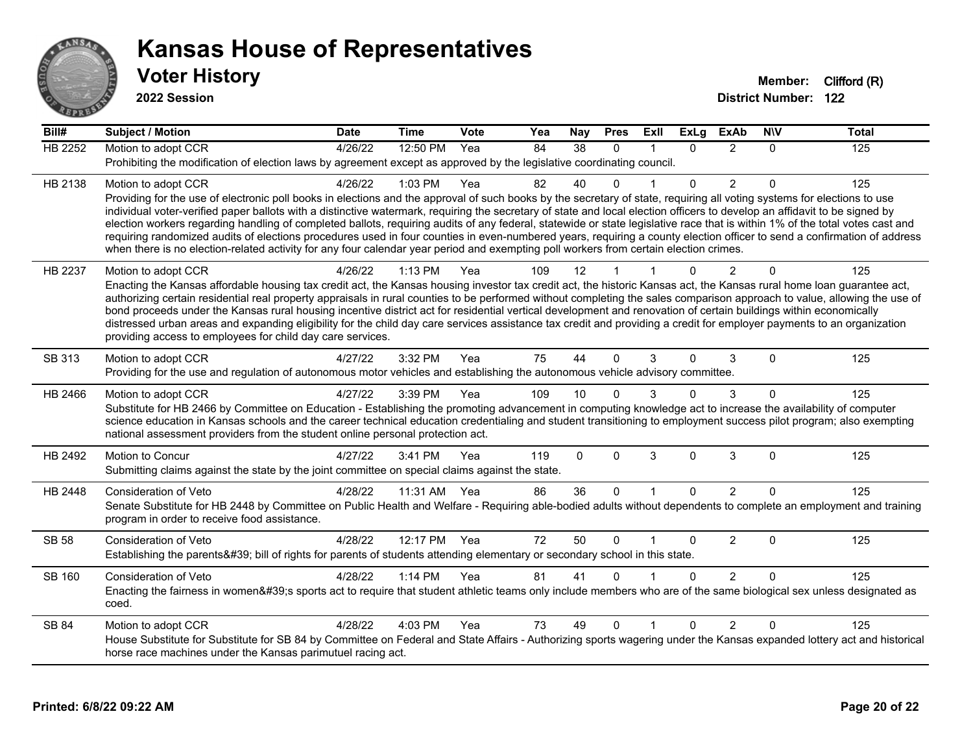

| $\overline{BiII#}$ | <b>Subject / Motion</b>                                                                                                                                                                                                                                                                                                                               | <b>Date</b> | <b>Time</b> | Vote | Yea | Nay      | <b>Pres</b>  | <b>Exll</b>             | <b>ExLg</b> | <b>ExAb</b>    | <b>NIV</b>   | <b>Total</b> |
|--------------------|-------------------------------------------------------------------------------------------------------------------------------------------------------------------------------------------------------------------------------------------------------------------------------------------------------------------------------------------------------|-------------|-------------|------|-----|----------|--------------|-------------------------|-------------|----------------|--------------|--------------|
| <b>HB 2252</b>     | Motion to adopt CCR                                                                                                                                                                                                                                                                                                                                   | 4/26/22     | 12:50 PM    | Yea  | 84  | 38       | $\Omega$     | $\mathbf{1}$            | $\Omega$    | $\overline{2}$ | $\Omega$     | 125          |
|                    | Prohibiting the modification of election laws by agreement except as approved by the legislative coordinating council.                                                                                                                                                                                                                                |             |             |      |     |          |              |                         |             |                |              |              |
| HB 2138            | Motion to adopt CCR                                                                                                                                                                                                                                                                                                                                   | 4/26/22     | 1:03 PM     | Yea  | 82  | 40       | $\Omega$     |                         | $\Omega$    | $\overline{2}$ | $\Omega$     | 125          |
|                    | Providing for the use of electronic poll books in elections and the approval of such books by the secretary of state, requiring all voting systems for elections to use<br>individual voter-verified paper ballots with a distinctive watermark, requiring the secretary of state and local election officers to develop an affidavit to be signed by |             |             |      |     |          |              |                         |             |                |              |              |
|                    | election workers regarding handling of completed ballots, requiring audits of any federal, statewide or state legislative race that is within 1% of the total votes cast and                                                                                                                                                                          |             |             |      |     |          |              |                         |             |                |              |              |
|                    | requiring randomized audits of elections procedures used in four counties in even-numbered years, requiring a county election officer to send a confirmation of address                                                                                                                                                                               |             |             |      |     |          |              |                         |             |                |              |              |
|                    | when there is no election-related activity for any four calendar year period and exempting poll workers from certain election crimes.                                                                                                                                                                                                                 |             |             |      |     |          |              |                         |             |                |              |              |
| HB 2237            | Motion to adopt CCR                                                                                                                                                                                                                                                                                                                                   | 4/26/22     | $1:13$ PM   | Yea  | 109 | 12       |              |                         | 0           | $\mathfrak{p}$ | $\Omega$     | 125          |
|                    | Enacting the Kansas affordable housing tax credit act, the Kansas housing investor tax credit act, the historic Kansas act, the Kansas rural home loan guarantee act,<br>authorizing certain residential real property appraisals in rural counties to be performed without completing the sales comparison approach to value, allowing the use of    |             |             |      |     |          |              |                         |             |                |              |              |
|                    | bond proceeds under the Kansas rural housing incentive district act for residential vertical development and renovation of certain buildings within economically                                                                                                                                                                                      |             |             |      |     |          |              |                         |             |                |              |              |
|                    | distressed urban areas and expanding eligibility for the child day care services assistance tax credit and providing a credit for employer payments to an organization                                                                                                                                                                                |             |             |      |     |          |              |                         |             |                |              |              |
|                    | providing access to employees for child day care services.                                                                                                                                                                                                                                                                                            |             |             |      |     |          |              |                         |             |                |              |              |
| SB 313             | Motion to adopt CCR                                                                                                                                                                                                                                                                                                                                   | 4/27/22     | 3:32 PM     | Yea  | 75  | 44       | $\Omega$     | 3                       | $\Omega$    | 3              | $\Omega$     | 125          |
|                    | Providing for the use and regulation of autonomous motor vehicles and establishing the autonomous vehicle advisory committee.                                                                                                                                                                                                                         |             |             |      |     |          |              |                         |             |                |              |              |
| HB 2466            | Motion to adopt CCR                                                                                                                                                                                                                                                                                                                                   | 4/27/22     | 3:39 PM     | Yea  | 109 | 10       | $\Omega$     | 3                       | 0           | 3              | $\Omega$     | 125          |
|                    | Substitute for HB 2466 by Committee on Education - Establishing the promoting advancement in computing knowledge act to increase the availability of computer<br>science education in Kansas schools and the career technical education credentialing and student transitioning to employment success pilot program; also exempting                   |             |             |      |     |          |              |                         |             |                |              |              |
|                    | national assessment providers from the student online personal protection act.                                                                                                                                                                                                                                                                        |             |             |      |     |          |              |                         |             |                |              |              |
| HB 2492            | Motion to Concur                                                                                                                                                                                                                                                                                                                                      | 4/27/22     | 3:41 PM     | Yea  | 119 | $\Omega$ | $\mathbf{0}$ | 3                       | 0           | 3              | $\mathbf{0}$ | 125          |
|                    | Submitting claims against the state by the joint committee on special claims against the state.                                                                                                                                                                                                                                                       |             |             |      |     |          |              |                         |             |                |              |              |
| HB 2448            | Consideration of Veto                                                                                                                                                                                                                                                                                                                                 | 4/28/22     | 11:31 AM    | Yea  | 86  | 36       | $\Omega$     | $\overline{1}$          | $\Omega$    | $\overline{2}$ | $\Omega$     | 125          |
|                    | Senate Substitute for HB 2448 by Committee on Public Health and Welfare - Requiring able-bodied adults without dependents to complete an employment and training                                                                                                                                                                                      |             |             |      |     |          |              |                         |             |                |              |              |
|                    | program in order to receive food assistance.                                                                                                                                                                                                                                                                                                          |             |             |      |     |          |              |                         |             |                |              |              |
| <b>SB 58</b>       | Consideration of Veto                                                                                                                                                                                                                                                                                                                                 | 4/28/22     | 12:17 PM    | Yea  | 72  | 50       | $\Omega$     | $\overline{\mathbf{1}}$ | 0           | $\overline{2}$ | 0            | 125          |
|                    | Establishing the parents' bill of rights for parents of students attending elementary or secondary school in this state.                                                                                                                                                                                                                              |             |             |      |     |          |              |                         |             |                |              |              |
| <b>SB 160</b>      | Consideration of Veto                                                                                                                                                                                                                                                                                                                                 | 4/28/22     | 1:14 PM     | Yea  | 81  | 41       | $\Omega$     |                         | $\Omega$    | $\overline{2}$ | $\Omega$     | 125          |
|                    | Enacting the fairness in women's sports act to require that student athletic teams only include members who are of the same biological sex unless designated as                                                                                                                                                                                       |             |             |      |     |          |              |                         |             |                |              |              |
|                    | coed.                                                                                                                                                                                                                                                                                                                                                 |             |             |      |     |          |              |                         |             |                |              |              |
| <b>SB 84</b>       | Motion to adopt CCR                                                                                                                                                                                                                                                                                                                                   | 4/28/22     | 4:03 PM     | Yea  | 73  | 49       | $\Omega$     |                         | 0           | $\overline{2}$ | $\Omega$     | 125          |
|                    | House Substitute for Substitute for SB 84 by Committee on Federal and State Affairs - Authorizing sports wagering under the Kansas expanded lottery act and historical                                                                                                                                                                                |             |             |      |     |          |              |                         |             |                |              |              |
|                    | horse race machines under the Kansas parimutuel racing act.                                                                                                                                                                                                                                                                                           |             |             |      |     |          |              |                         |             |                |              |              |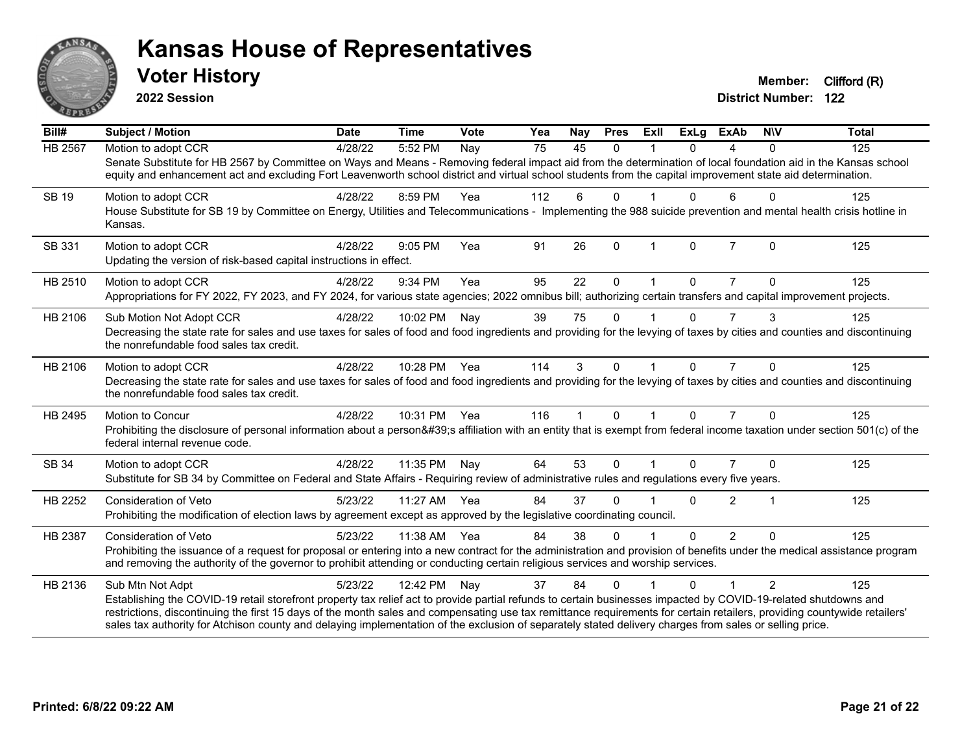

**2022 Session**

| Bill#          | <b>Subject / Motion</b>                                                                                                                                                                                                                                                                                                                                                                                                                                                                                | <b>Date</b> | <b>Time</b>  | Vote | Yea | <b>Nay</b>   | <b>Pres</b> | Exll        | <b>ExLg</b> | <b>ExAb</b>    | <b>NIV</b>   | <b>Total</b> |
|----------------|--------------------------------------------------------------------------------------------------------------------------------------------------------------------------------------------------------------------------------------------------------------------------------------------------------------------------------------------------------------------------------------------------------------------------------------------------------------------------------------------------------|-------------|--------------|------|-----|--------------|-------------|-------------|-------------|----------------|--------------|--------------|
| <b>HB 2567</b> | Motion to adopt CCR                                                                                                                                                                                                                                                                                                                                                                                                                                                                                    | 4/28/22     | 5:52 PM      | Nay  | 75  | 45           | $\Omega$    |             | $\Omega$    | 4              | $\Omega$     | 125          |
|                | Senate Substitute for HB 2567 by Committee on Ways and Means - Removing federal impact aid from the determination of local foundation aid in the Kansas school<br>equity and enhancement act and excluding Fort Leavenworth school district and virtual school students from the capital improvement state aid determination.                                                                                                                                                                          |             |              |      |     |              |             |             |             |                |              |              |
| <b>SB 19</b>   | Motion to adopt CCR                                                                                                                                                                                                                                                                                                                                                                                                                                                                                    | 4/28/22     | 8:59 PM      | Yea  | 112 | 6            | $\Omega$    |             | 0           | 6              | $\Omega$     | 125          |
|                | House Substitute for SB 19 by Committee on Energy, Utilities and Telecommunications - Implementing the 988 suicide prevention and mental health crisis hotline in<br>Kansas.                                                                                                                                                                                                                                                                                                                           |             |              |      |     |              |             |             |             |                |              |              |
| SB 331         | Motion to adopt CCR                                                                                                                                                                                                                                                                                                                                                                                                                                                                                    | 4/28/22     | 9:05 PM      | Yea  | 91  | 26           | $\Omega$    |             | $\Omega$    | $\overline{7}$ | $\mathbf{0}$ | 125          |
|                | Updating the version of risk-based capital instructions in effect.                                                                                                                                                                                                                                                                                                                                                                                                                                     |             |              |      |     |              |             |             |             |                |              |              |
| HB 2510        | Motion to adopt CCR                                                                                                                                                                                                                                                                                                                                                                                                                                                                                    | 4/28/22     | 9:34 PM      | Yea  | 95  | 22           | 0           |             | 0           |                | $\Omega$     | 125          |
|                | Appropriations for FY 2022, FY 2023, and FY 2024, for various state agencies; 2022 omnibus bill; authorizing certain transfers and capital improvement projects.                                                                                                                                                                                                                                                                                                                                       |             |              |      |     |              |             |             |             |                |              |              |
| HB 2106        | Sub Motion Not Adopt CCR                                                                                                                                                                                                                                                                                                                                                                                                                                                                               | 4/28/22     | 10:02 PM     | Nay  | 39  | 75           | 0           |             | 0           | 7              | 3            | 125          |
|                | Decreasing the state rate for sales and use taxes for sales of food and food ingredients and providing for the levying of taxes by cities and counties and discontinuing<br>the nonrefundable food sales tax credit.                                                                                                                                                                                                                                                                                   |             |              |      |     |              |             |             |             |                |              |              |
| HB 2106        | Motion to adopt CCR                                                                                                                                                                                                                                                                                                                                                                                                                                                                                    | 4/28/22     | 10:28 PM Yea |      | 114 | 3            | $\Omega$    |             | $\Omega$    | $\overline{7}$ | $\Omega$     | 125          |
|                | Decreasing the state rate for sales and use taxes for sales of food and food ingredients and providing for the levying of taxes by cities and counties and discontinuing<br>the nonrefundable food sales tax credit.                                                                                                                                                                                                                                                                                   |             |              |      |     |              |             |             |             |                |              |              |
| HB 2495        | <b>Motion to Concur</b>                                                                                                                                                                                                                                                                                                                                                                                                                                                                                | 4/28/22     | 10:31 PM     | Yea  | 116 | $\mathbf{1}$ | $\Omega$    | $\mathbf 1$ | $\Omega$    | $\overline{7}$ | $\Omega$     | 125          |
|                | Prohibiting the disclosure of personal information about a person's affiliation with an entity that is exempt from federal income taxation under section 501(c) of the<br>federal internal revenue code.                                                                                                                                                                                                                                                                                               |             |              |      |     |              |             |             |             |                |              |              |
| SB 34          | Motion to adopt CCR                                                                                                                                                                                                                                                                                                                                                                                                                                                                                    | 4/28/22     | 11:35 PM     | Nay  | 64  | 53           | $\Omega$    |             | $\Omega$    | 7              | $\Omega$     | 125          |
|                | Substitute for SB 34 by Committee on Federal and State Affairs - Requiring review of administrative rules and regulations every five years.                                                                                                                                                                                                                                                                                                                                                            |             |              |      |     |              |             |             |             |                |              |              |
| HB 2252        | <b>Consideration of Veto</b>                                                                                                                                                                                                                                                                                                                                                                                                                                                                           | 5/23/22     | 11:27 AM     | Yea  | 84  | 37           | 0           |             | 0           | $\overline{2}$ | $\mathbf{1}$ | 125          |
|                | Prohibiting the modification of election laws by agreement except as approved by the legislative coordinating council.                                                                                                                                                                                                                                                                                                                                                                                 |             |              |      |     |              |             |             |             |                |              |              |
| HB 2387        | Consideration of Veto                                                                                                                                                                                                                                                                                                                                                                                                                                                                                  | 5/23/22     | 11:38 AM     | Yea  | 84  | 38           | 0           |             | $\Omega$    | $\overline{2}$ | $\Omega$     | 125          |
|                | Prohibiting the issuance of a request for proposal or entering into a new contract for the administration and provision of benefits under the medical assistance program<br>and removing the authority of the governor to prohibit attending or conducting certain religious services and worship services.                                                                                                                                                                                            |             |              |      |     |              |             |             |             |                |              |              |
| HB 2136        | Sub Mtn Not Adpt                                                                                                                                                                                                                                                                                                                                                                                                                                                                                       | 5/23/22     | 12:42 PM     | Nay  | 37  | 84           | 0           |             | 0           |                | 2            | 125          |
|                | Establishing the COVID-19 retail storefront property tax relief act to provide partial refunds to certain businesses impacted by COVID-19-related shutdowns and<br>restrictions, discontinuing the first 15 days of the month sales and compensating use tax remittance requirements for certain retailers, providing countywide retailers'<br>sales tax authority for Atchison county and delaying implementation of the exclusion of separately stated delivery charges from sales or selling price. |             |              |      |     |              |             |             |             |                |              |              |